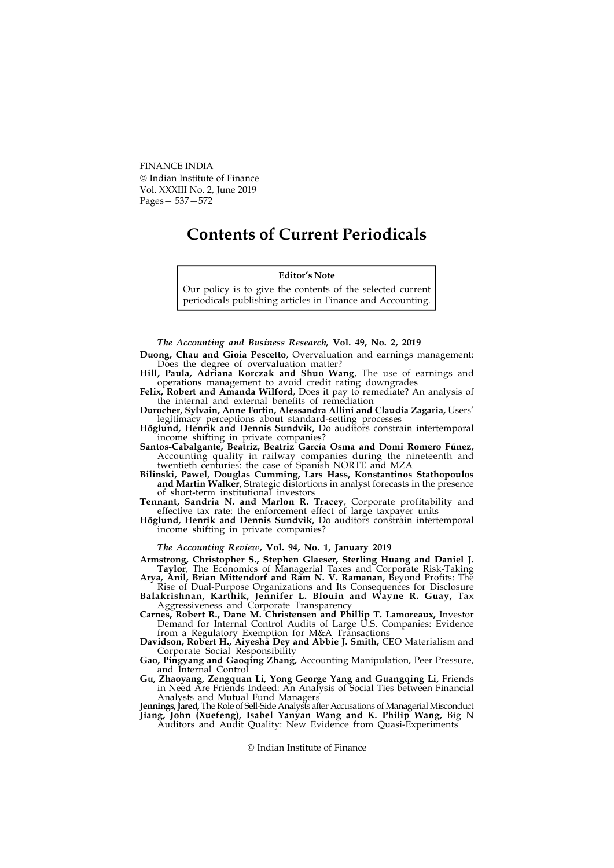FINANCE INDIA Indian Institute of Finance Vol. XXXIII No. 2, June 2019 Pages— 537—572

# Contents of Current Periodicals

## Editor's Note

Our policy is to give the contents of the selected current periodicals publishing articles in Finance and Accounting.

The Accounting and Business Research, Vol. 49, No. 2, 2019

Duong, Chau and Gioia Pescetto, Overvaluation and earnings management: Does the degree of overvaluation matter?

Hill, Paula, Adriana Korczak and Shuo Wang, The use of earnings and operations management to avoid credit rating downgrades

Felix, Robert and Amanda Wilford, Does it pay to remediate? An analysis of the internal and external benefits of remediation

Durocher, Sylvain, Anne Fortin, Alessandra Allini and Claudia Zagaria, Users' legitimacy perceptions about standard-setting processes

Höglund, Henrik and Dennis Sundvik, Do auditors constrain intertemporal income shifting in private companies?

Santos-Cabalgante, Beatriz, Beatriz García Osma and Domi Romero Fúnez, Accounting quality in railway companies during the nineteenth and twentieth centuries: the case of Spanish NORTE and MZA

Bilinski, Pawel, Douglas Cumming, Lars Hass, Konstantinos Stathopoulos and Martin Walker, Strategic distortions in analyst forecasts in the presence of short-term institutional investors

Tennant, Sandria N. and Marlon R. Tracey, Corporate profitability and effective tax rate: the enforcement effect of large taxpayer units

Höglund, Henrik and Dennis Sundvik, Do auditors constrain intertemporal income shifting in private companies?

## The Accounting Review, Vol. 94, No. 1, January 2019

Armstrong, Christopher S., Stephen Glaeser, Sterling Huang and Daniel J. Taylor, The Economics of Managerial Taxes and Corporate Risk-Taking

Arya, Anil, Brian Mittendorf and Ram N. V. Ramanan, Beyond Profits: The Rise of Dual-Purpose Organizations and Its Consequences for Disclosure

Balakrishnan, Karthik, Jennifer L. Blouin and Wayne R. Guay, Tax Aggressiveness and Corporate Transparency

Carnes, Robert R., Dane M. Christensen and Phillip T. Lamoreaux, Investor Demand for Internal Control Audits of Large U.S. Companies: Evidence from a Regulatory Exemption for M&A Transactions

Davidson, Robert H., Aiyesha Dey and Abbie J. Smith, CEO Materialism and Corporate Social Responsibility

Gao, Pingyang and Gaoqing Zhang, Accounting Manipulation, Peer Pressure, and Internal Control

Gu, Zhaoyang, Zengquan Li, Yong George Yang and Guangqing Li, Friends in Need Are Friends Indeed: An Analysis of Social Ties between Financial Analysts and Mutual Fund Managers

**Jennings, Jared,** The Role of Sell-Side Analysts after Accusations of Managerial Misconduct Jiang, John (Xuefeng), Isabel Yanyan Wang and K. Philip Wang, Big N Auditors and Audit Quality: New Evidence from Quasi-Experiments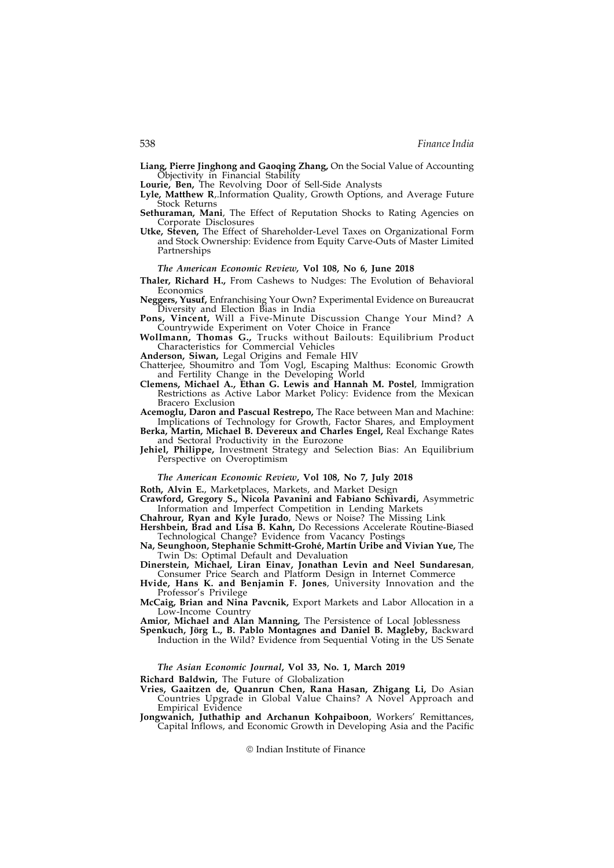Liang, Pierre Jinghong and Gaoqing Zhang, On the Social Value of Accounting Objectivity in Financial Stability

Lourie, Ben, The Revolving Door of Sell-Side Analysts

- Lyle, Matthew R,.Information Quality, Growth Options, and Average Future Stock Returns
- Sethuraman, Mani, The Effect of Reputation Shocks to Rating Agencies on Corporate Disclosures
- Utke, Steven, The Effect of Shareholder-Level Taxes on Organizational Form and Stock Ownership: Evidence from Equity Carve-Outs of Master Limited Partnerships

## The American Economic Review, Vol 108, No 6, June 2018

- Thaler, Richard H., From Cashews to Nudges: The Evolution of Behavioral Economics
- Neggers, Yusuf, Enfranchising Your Own? Experimental Evidence on Bureaucrat Diversity and Election Bias in India
- Pons, Vincent, Will a Five-Minute Discussion Change Your Mind? A Countrywide Experiment on Voter Choice in France
- Wollmann, Thomas G., Trucks without Bailouts: Equilibrium Product Characteristics for Commercial Vehicles

Anderson, Siwan, Legal Origins and Female HIV

- Chatterjee, Shoumitro and Tom Vogl, Escaping Malthus: Economic Growth and Fertility Change in the Developing World
- Clemens, Michael A., Ethan G. Lewis and Hannah M. Postel, Immigration Restrictions as Active Labor Market Policy: Evidence from the Mexican Bracero Exclusion
- Acemoglu, Daron and Pascual Restrepo, The Race between Man and Machine: Implications of Technology for Growth, Factor Shares, and Employment
- Berka, Martin, Michael B. Devereux and Charles Engel, Real Exchange Rates and Sectoral Productivity in the Eurozone
- Jehiel, Philippe, Investment Strategy and Selection Bias: An Equilibrium Perspective on Overoptimism

# The American Economic Review, Vol 108, No 7, July 2018

Roth, Alvin E., Marketplaces, Markets, and Market Design

Crawford, Gregory S., Nicola Pavanini and Fabiano Schivardi, Asymmetric Information and Imperfect Competition in Lending Markets

Chahrour, Ryan and Kyle Jurado, News or Noise? The Missing Link

- Hershbein, Brad and Lisa B. Kahn, Do Recessions Accelerate Routine-Biased Technological Change? Evidence from Vacancy Postings
- Na, Seunghoon, Stephanie Schmitt-Grohé, Martín Uribe and Vivian Yue, The Twin Ds: Optimal Default and Devaluation
- Dinerstein, Michael, Liran Einav, Jonathan Levin and Neel Sundaresan, Consumer Price Search and Platform Design in Internet Commerce
- Hvide, Hans K. and Benjamin F. Jones, University Innovation and the Professor's Privilege

McCaig, Brian and Nina Pavcnik, Export Markets and Labor Allocation in a Low-Income Country

Amior, Michael and Alan Manning, The Persistence of Local Joblessness

Spenkuch, Jörg L., B. Pablo Montagnes and Daniel B. Magleby, Backward Induction in the Wild? Evidence from Sequential Voting in the US Senate

#### The Asian Economic Journal, Vol 33, No. 1, March 2019

Richard Baldwin, The Future of Globalization

- Vries, Gaaitzen de, Quanrun Chen, Rana Hasan, Zhigang Li, Do Asian Countries Upgrade in Global Value Chains? A Novel Approach and Empirical Evidence
- Jongwanich, Juthathip and Archanun Kohpaiboon, Workers' Remittances, Capital Inflows, and Economic Growth in Developing Asia and the Pacific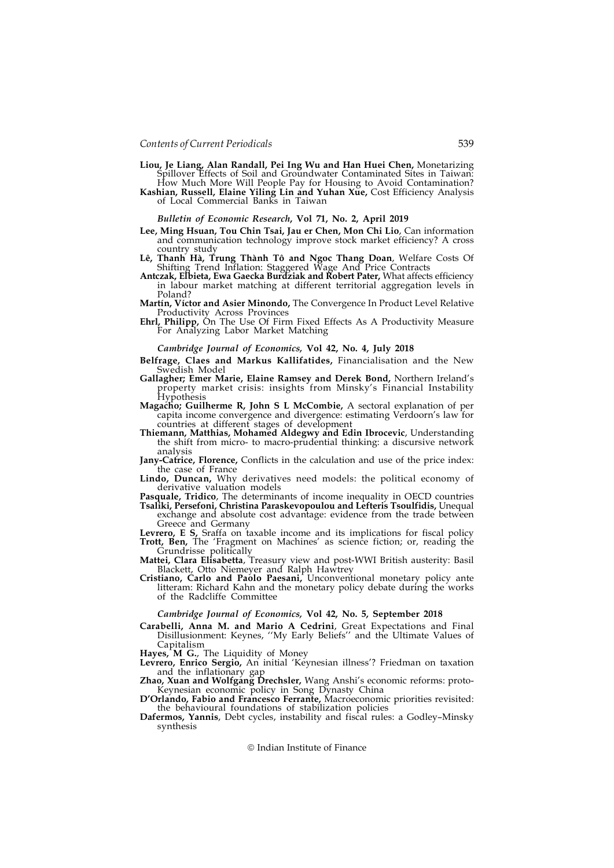- Liou, Je Liang, Alan Randall, Pei Ing Wu and Han Huei Chen, Monetarizing Spillover Effects of Soil and Groundwater Contaminated Sites in Taiwan: How Much More Will People Pay for Housing to Avoid Contamination?
- Kashian, Russell, Elaine Yiling Lin and Yuhan Xue, Cost Efficiency Analysis of Local Commercial Banks in Taiwan

## Bulletin of Economic Research, Vol 71, No. 2, April 2019

- Lee, Ming Hsuan, Tou Chin Tsai, Jau er Chen, Mon Chi Lio, Can information and communication technology improve stock market efficiency? A cross country study
- Lê, Thanh Hà, Trung Thành Tô and Ngoc Thang Doan, Welfare Costs Of Shifting Trend Inflation: Staggered Wage And Price Contracts
- Antczak, Elbieta, Ewa Gaecka Burdziak and Robert Pater, What affects efficiency in labour market matching at different territorial aggregation levels in Poland?
- Martín, Víctor and Asier Minondo, The Convergence In Product Level Relative Productivity Across Provinces
- Ehrl, Philipp, On The Use Of Firm Fixed Effects As A Productivity Measure For Analyzing Labor Market Matching

#### Cambridge Journal of Economics, Vol 42, No. 4, July 2018

- Belfrage, Claes and Markus Kallifatides, Financialisation and the New Swedish Model
- Gallagher; Emer Marie, Elaine Ramsey and Derek Bond, Northern Ireland's property market crisis: insights from Minsky's Financial Instability<br>Hypothesis
- Magacho; Guilherme R, John S L McCombie, A sectoral explanation of per capita income convergence and divergence: estimating Verdoorn's law for countries at different stages of development
- Thiemann, Matthias, Mohamed Aldegwy and Edin Ibrocevic, Understanding the shift from micro- to macro-prudential thinking: a discursive network analysis
- Jany-Catrice, Florence, Conflicts in the calculation and use of the price index: the case of France
- Lindo, Duncan, Why derivatives need models: the political economy of derivative valuation models
- Pasquale, Tridico, The determinants of income inequality in OECD countries Tsaliki, Persefoni, Christina Paraskevopoulou and Lefteris Tsoulfidis, Unequal
- exchange and absolute cost advantage: evidence from the trade between Greece and Germany
- Levrero, E S, Sraffa on taxable income and its implications for fiscal policy Trott, Ben, The 'Fragment on Machines' as science fiction; or, reading the
- Grundrisse politically Mattei, Clara Elisabetta, Treasury view and post-WWI British austerity: Basil Blackett, Otto Niemeyer and Ralph Hawtrey
- Cristiano, Carlo and Paolo Paesani, Unconventional monetary policy ante litteram: Richard Kahn and the monetary policy debate during the works of the Radcliffe Committee

## Cambridge Journal of Economics, Vol 42, No. 5, September 2018

Carabelli, Anna M. and Mario A Cedrini, Great Expectations and Final Disillusionment: Keynes, ''My Early Beliefs'' and the Ultimate Values of Capitalism

Hayes,  $^{\prime}$ M G., The Liquidity of Money

- Levrero, Enrico Sergio, An initial 'Keynesian illness'? Friedman on taxation and the inflationary gap
- Zhao, Xuan and Wolfgang Drechsler, Wang Anshi's economic reforms: proto-Keynesian economic policy in Song Dynasty China
- D'Orlando, Fabio and Francesco Ferrante, Macroeconomic priorities revisited: the behavioural foundations of stabilization policies
- Dafermos, Yannis, Debt cycles, instability and fiscal rules: a Godley–Minsky synthesis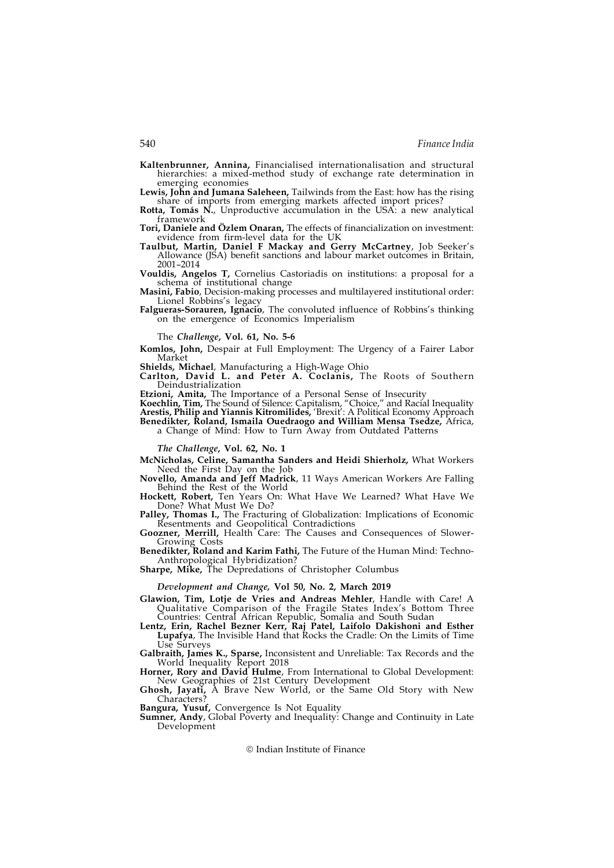Kaltenbrunner, Annina, Financialised internationalisation and structural hierarchies: a mixed-method study of exchange rate determination in emerging economies

Lewis, John and Jumana Saleheen, Tailwinds from the East: how has the rising share of imports from emerging markets affected import prices?

Rotta, Tomás N., Unproductive accumulation in the USA: a new analytical framework

Tori, Daniele and Özlem Onaran, The effects of financialization on investment: evidence from firm-level data for the UK

Taulbut, Martin, Daniel F Mackay and Gerry McCartney, Job Seeker's Allowance (JSA) benefit sanctions and labour market outcomes in Britain, 2001–2014

Vouldis, Angelos T, Cornelius Castoriadis on institutions: a proposal for a

Masini, Fabio, Decision-making processes and multilayered institutional order: Lionel Robbins's legacy

Falgueras-Sorauren, Ignacio, The convoluted influence of Robbins's thinking on the emergence of Economics Imperialism

The Challenge, Vol. 61, No. 5-6

Komlos, John, Despair at Full Employment: The Urgency of a Fairer Labor Market

Shields, Michael, Manufacturing a High-Wage Ohio

Carlton, David L. and Peter A. Coclanis, The Roots of Southern Deindustrialization

Etzioni, Amita, The Importance of a Personal Sense of Insecurity

Koechlin, Tim, The Sound of Silence: Capitalism, "Choice," and Racial Inequality Arestis, Philip and Yiannis Kitromilides, 'Brexit': A Political Economy Approach Benedikter, Roland, Ismaila Ouedraogo and William Mensa Tsedze, Africa,

a Change of Mind: How to Turn Away from Outdated Patterns

The Challenge, Vol. 62, No. 1

McNicholas, Celine, Samantha Sanders and Heidi Shierholz, What Workers Need the First Day on the Job

Novello, Amanda and Jeff Madrick, 11 Ways American Workers Are Falling Behind the Rest of the World

Hockett, Robert, Ten Years On: What Have We Learned? What Have We Done? What Must We Do?

Palley, Thomas I., The Fracturing of Globalization: Implications of Economic Resentments and Geopolitical Contradictions

Goozner, Merrill, Health Care: The Causes and Consequences of Slower-Growing Costs

Benedikter, Roland and Karim Fathi, The Future of the Human Mind: Techno-Anthropological Hybridization?

Sharpe, Mike, The Depredations of Christopher Columbus

Development and Change, Vol 50, No. 2, March 2019

Glawion, Tim, Lotje de Vries and Andreas Mehler, Handle with Care! A Qualitative Comparison of the Fragile States Index's Bottom Three Countries: Central African Republic, Somalia and South Sudan

Lentz, Erin, Rachel Bezner Kerr, Raj Patel, Laifolo Dakishoni and Esther Lupafya, The Invisible Hand that Rocks the Cradle: On the Limits of Time Use Surveys

Galbraith, James K., Sparse, Inconsistent and Unreliable: Tax Records and the World Inequality Report 2018

Horner, Rory and David Hulme, From International to Global Development: New Geographies of 21st Century Development

Ghosh, Jayati, A Brave New World, or the Same Old Story with New Characters?

Bangura, Yusuf, Convergence Is Not Equality

Sumner, Andy, Global Poverty and Inequality: Change and Continuity in Late Development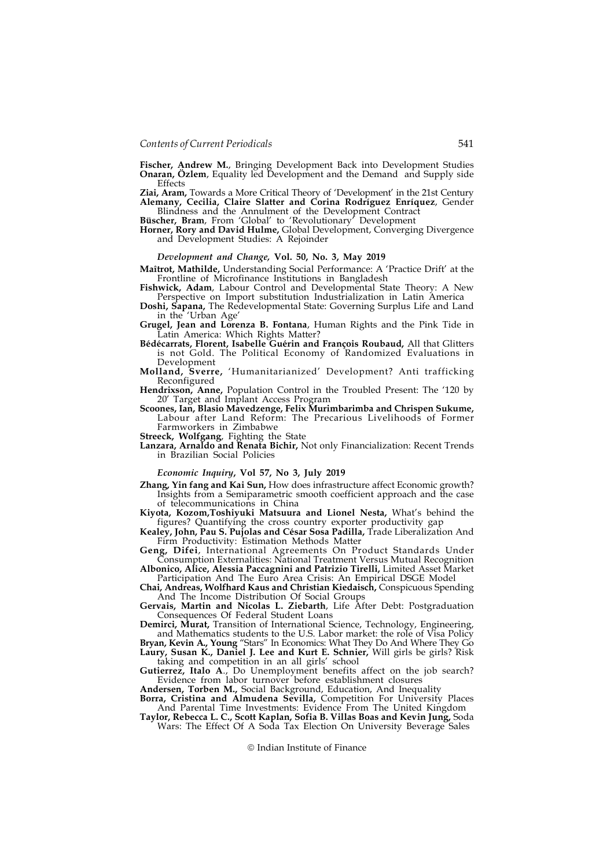Fischer, Andrew M., Bringing Development Back into Development Studies Onaran, Özlem, Equality led Development and the Demand and Supply side Effects

Ziai, Aram, Towards a More Critical Theory of 'Development' in the 21st Century Alemany, Cecilia, Claire Slatter and Corina Rodríguez Enríquez, Gender Blindness and the Annulment of the Development Contract

Büscher, Bram, From 'Global' to 'Revolutionary' Development

Horner, Rory and David Hulme, Global Development, Converging Divergence and Development Studies: A Rejoinder

#### Development and Change, Vol. 50, No. 3, May 2019

Maîtrot, Mathilde, Understanding Social Performance: A 'Practice Drift' at the Frontline of Microfinance Institutions in Bangladesh

Fishwick, Adam, Labour Control and Developmental State Theory: A New Perspective on Import substitution Industrialization in Latin America

Doshi, Sapana, The Redevelopmental State: Governing Surplus Life and Land in the 'Urban Age'

Grugel, Jean and Lorenza B. Fontana, Human Rights and the Pink Tide in Latin America: Which Rights Matter?

Bédécarrats, Florent, Isabelle Guérin and François Roubaud, All that Glitters is not Gold. The Political Economy of Randomized Evaluations in

Development Molland, Sverre, 'Humanitarianized' Development? Anti trafficking Reconfigured

Hendrixson, Anne, Population Control in the Troubled Present: The '120 by 20' Target and Implant Access Program

Scoones, Ian, Blasio Mavedzenge, Felix Murimbarimba and Chrispen Sukume, Labour after Land Reform: The Precarious Livelihoods of Former Farmworkers in Zimbabwe

Streeck, Wolfgang, Fighting the State

Lanzara, Arnaldo and Renata Bichir, Not only Financialization: Recent Trends in Brazilian Social Policies

#### Economic Inquiry, Vol 57, No 3, July 2019

Zhang, Yin fang and Kai Sun, How does infrastructure affect Economic growth? Insights from a Semiparametric smooth coefficient approach and the case of telecommunications in China

Kiyota, Kozom,Toshiyuki Matsuura and Lionel Nesta, What's behind the figures? Quantifying the cross country exporter productivity gap

Kealey, John, Pau S. Pujolas and César Sosa Padilla, Trade Liberalization And Firm Productivity: Estimation Methods Matter

Geng, Difei, International Agreements On Product Standards Under Consumption Externalities: National Treatment Versus Mutual Recognition Albonico, Alice, Alessia Paccagnini and Patrizio Tirelli, Limited Asset Market

Participation And The Euro Area Crisis: An Empirical DSGE Model Chai, Andreas, Wolfhard Kaus and Christian Kiedaisch, Conspicuous Spending

And The Income Distribution Of Social Groups Gervais, Martin and Nicolas L. Ziebarth, Life After Debt: Postgraduation

Consequences Of Federal Student Loans Demirci, Murat, Transition of International Science, Technology, Engineering,

and Mathematics students to the U.S. Labor market: the role of Visa Policy

Bryan, Kevin A., Young "Stars" In Economics: What They Do And Where They Go Laury, Susan K., Daniel J. Lee and Kurt E. Schnier, Will girls be girls? Risk taking and competition in an all girls' school

Gutierrez, Italo A., Do Unemployment benefits affect on the job search? Evidence from labor turnover before establishment closures

Andersen, Torben M., Social Background, Education, And Inequality

Borra, Cristina and Almudena Sevilla, Competition For University Places And Parental Time Investments: Evidence From The United Kingdom

Taylor, Rebecca L. C., Scott Kaplan, Sofia B. Villas Boas and Kevin Jung, Soda Wars: The Effect Of A Soda Tax Election On University Beverage Sales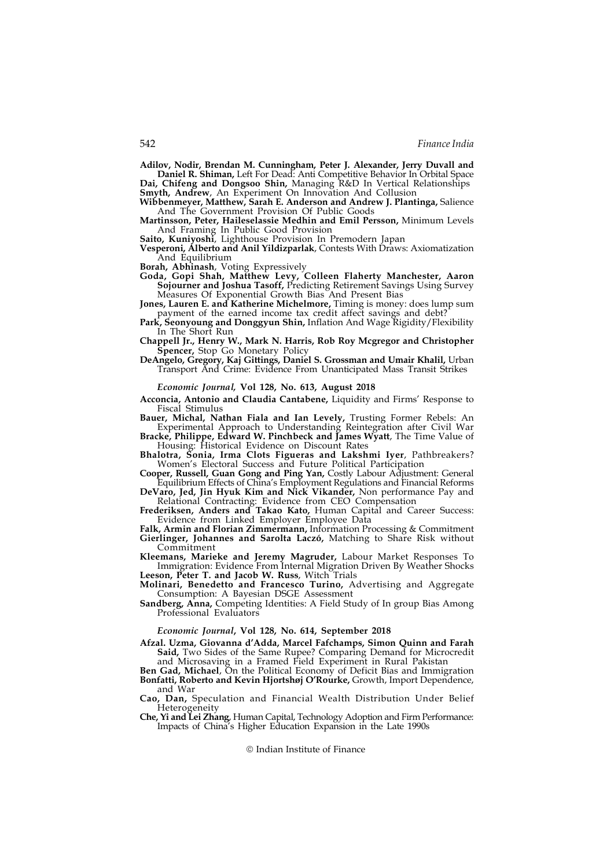Adilov, Nodir, Brendan M. Cunningham, Peter J. Alexander, Jerry Duvall and Daniel R. Shiman, Left For Dead: Anti Competitive Behavior In Orbital Space

Dai, Chifeng and Dongsoo Shin, Managing R&D In Vertical Relationships Smyth, Andrew, An Experiment On Innovation And Collusion<br>Wibbenmeyer, Matthew, Sarah E. Anderson and Andrew J. Plantinga, Salience

And The Government Provision Of Public Goods

Martinsson, Peter, Haileselassie Medhin and Emil Persson, Minimum Levels And Framing In Public Good Provision

Saito, Kuniyoshi, Lighthouse Provision In Premodern Japan

Vesperoni, Alberto and Anil Yildizparlak, Contests With Draws: Axiomatization And Equilibrium

Borah, Abhinash, Voting Expressively

Goda, Gopi Shah, Matthew Levy, Colleen Flaherty Manchester, Aaron Sojourner and Joshua Tasoff, Predicting Retirement Savings Using Survey Measures Of Exponential Growth Bias And Present Bias

Jones, Lauren E. and Katherine Michelmore, Timing is money: does lump sum payment of the earned income tax credit affect savings and debt?

Park, Seonyoung and Donggyun Shin, Inflation And Wage Rigidity/Flexibility In The Short Run

Chappell Jr., Henry W., Mark N. Harris, Rob Roy Mcgregor and Christopher Spencer, Stop Go Monetary Policy

DeAngelo, Gregory, Kaj Gittings, Daniel S. Grossman and Umair Khalil, Urban Transport And Crime: Evidence From Unanticipated Mass Transit Strikes

Economic Journal, Vol 128, No. 613, August 2018

Acconcia, Antonio and Claudia Cantabene, Liquidity and Firms' Response to Fiscal Stimulus

Bauer, Michal, Nathan Fiala and Ian Levely, Trusting Former Rebels: An Experimental Approach to Understanding Reintegration after Civil War

Bracke, Philippe, Edward W. Pinchbeck and James Wyatt, The Time Value of Housing: Historical Evidence on Discount Rates

Bhalotra, Sonia, Irma Clots Figueras and Lakshmi Iyer, Pathbreakers? Women's Electoral Success and Future Political Participation

Cooper, Russell, Guan Gong and Ping Yan, Costly Labour Adjustment: General Equilibrium Effects of China's Employment Regulations and Financial Reforms

DeVaro, Jed, Jin Hyuk Kim and Nick Vikander, Non performance Pay and Relational Contracting: Evidence from CEO Compensation

Frederiksen, Anders and Takao Kato, Human Capital and Career Success: Evidence from Linked Employer Employee Data

Falk, Armin and Florian Zimmermann, Information Processing & Commitment Gierlinger, Johannes and Sarolta Laczó, Matching to Share Risk without Commitment

Kleemans, Marieke and Jeremy Magruder, Labour Market Responses To Immigration: Evidence From Internal Migration Driven By Weather Shocks Leeson, Peter T. and Jacob W. Russ, Witch Trials

Molinari, Benedetto and Francesco Turino, Advertising and Aggregate Consumption: A Bayesian DSGE Assessment

Sandberg, Anna, Competing Identities: A Field Study of In group Bias Among Professional Evaluators

## Economic Journal, Vol 128, No. 614, September 2018

Afzal. Uzma, Giovanna d'Adda, Marcel Fafchamps, Simon Quinn and Farah Said, Two Sides of the Same Rupee? Comparing Demand for Microcredit and Microsaving in a Framed Field Experiment in Rural Pakistan

Ben Gad, Michael, On the Political Economy of Deficit Bias and Immigration Bonfatti, Roberto and Kevin Hjortshøj O'Rourke, Growth, Import Dependence, and War

Cao, Dan, Speculation and Financial Wealth Distribution Under Belief Heterogeneity

Che, Yi and Lei Zhang, Human Capital, Technology Adoption and Firm Performance: Impacts of China's Higher Education Expansion in the Late 1990s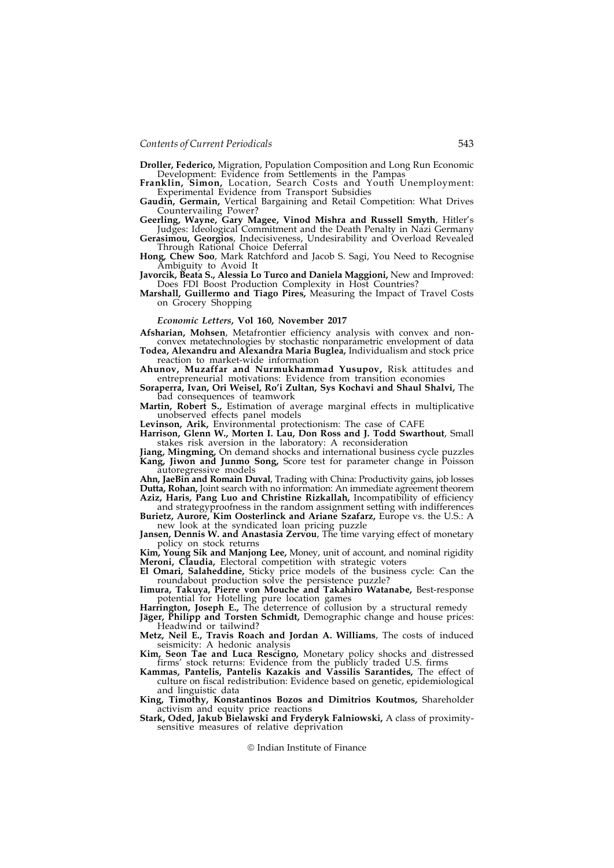Droller, Federico, Migration, Population Composition and Long Run Economic Development: Evidence from Settlements in the Pampas

Franklin, Simon, Location, Search Costs and Youth Unemployment: Experimental Evidence from Transport Subsidies

Gaudin, Germain, Vertical Bargaining and Retail Competition: What Drives Countervailing Power?

Geerling, Wayne, Gary Magee, Vinod Mishra and Russell Smyth, Hitler's Judges: Ideological Commitment and the Death Penalty in Nazi Germany

Gerasimou, Georgios, Indecisiveness, Undesirability and Overload Revealed Through Rational Choice Deferral

Hong, Chew Soo, Mark Ratchford and Jacob S. Sagi, You Need to Recognise Ambiguity to Avoid It

Javorcik, Beata S., Alessia Lo Turco and Daniela Maggioni, New and Improved: Does FDI Boost Production Complexity in Host Countries? Marshall, Guillermo and Tiago Pires, Measuring the Impact of Travel Costs

on Grocery Shopping

## Economic Letters, Vol 160, November 2017

Afsharian, Mohsen, Metafrontier efficiency analysis with convex and nonconvex metatechnologies by stochastic nonparametric envelopment of data

Todea, Alexandru and Alexandra Maria Buglea, Individualism and stock price reaction to market-wide information

Ahunov, Muzaffar and Nurmukhammad Yusupov, Risk attitudes and entrepreneurial motivations: Evidence from transition economies

Soraperra, Ivan, Ori Weisel, Ro'i Zultan, Sys Kochavi and Shaul Shalvi, The

Martin, Robert S., Estimation of average marginal effects in multiplicative unobserved effects panel models

Levinson, Arik, Environmental protectionism: The case of CAFE

Harrison, Glenn W., Morten I. Lau, Don Ross and J. Todd Swarthout, Small stakes risk aversion in the laboratory: A reconsideration

**Jiang, Mingming, On** demand shocks and international business cycle puzzles Kang, Jiwon and Junmo Song, Score test for parameter change in Poisson autoregressive models

Ahn, JaeBin and Romain Duval, Trading with China: Productivity gains, job losses Dutta, Rohan, Joint search with no information: An immediate agreement theorem Aziz, Haris, Pang Luo and Christine Rizkallah, Incompatibility of efficiency

and strategyproofness in the random assignment setting with indifferences Burietz, Aurore, Kim Oosterlinck and Ariane Szafarz, Europe vs. the U.S.: A

new look at the syndicated loan pricing puzzle Jansen, Dennis W. and Anastasia Zervou, The time varying effect of monetary

policy on stock returns<br> **Kim, Young Sik and Manjong Lee,** Money, unit of account, and nominal rigidity Kim, Young Sik and Manjong Lee, Money, unit of account, and nominal rigidity Meroni, Claudia, Electoral competition with strategic voters

El Omari, Salaheddine, Sticky price models of the business cycle: Can the roundabout production solve the persistence puzzle?

Iimura, Takuya, Pierre von Mouche and Takahiro Watanabe, Best-response potential for Hotelling pure location games

Harrington, Joseph E., The deterrence of collusion by a structural remedy

Jäger, Philipp and Torsten Schmidt, Demographic change and house prices: Headwind or tailwind?

Metz, Neil E., Travis Roach and Jordan A. Williams, The costs of induced seismicity: A hedonic analysis

Kim, Seon Tae and Luca Rescigno, Monetary policy shocks and distressed firms' stock returns: Evidence from the publicly traded U.S. firms

Kammas, Pantelis, Pantelis Kazakis and Vassilis Sarantides, The effect of culture on fiscal redistribution: Evidence based on genetic, epidemiological and linguistic data

King, Timothy, Konstantinos Bozos and Dimitrios Koutmos, Shareholder activism and equity price reactions

Stark, Oded, Jakub Bielawski and Fryderyk Falniowski, A class of proximitysensitive measures of relative deprivation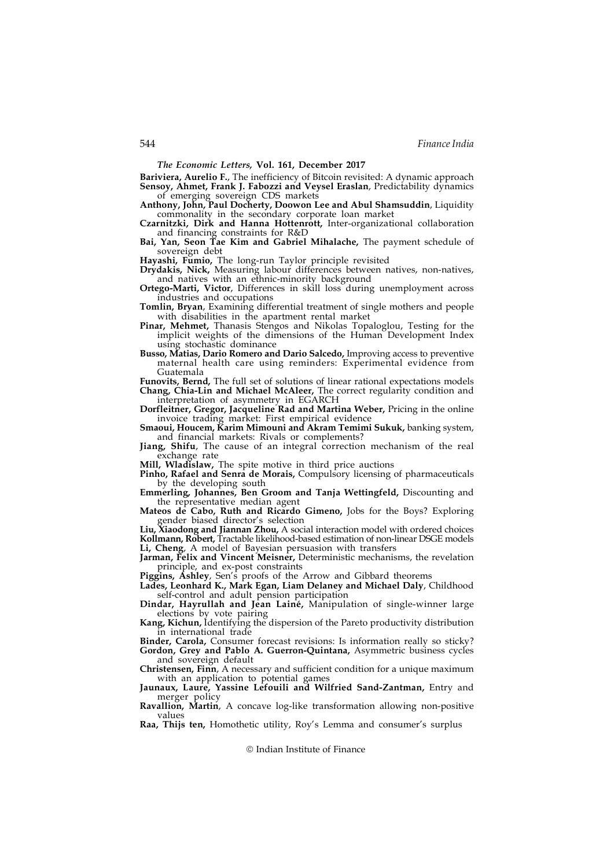The Economic Letters, Vol. 161, December 2017

Bariviera, Aurelio F., The inefficiency of Bitcoin revisited: A dynamic approach Sensoy, Ahmet, Frank J. Fabozzi and Veysel Eraslan, Predictability dynamics of emerging sovereign CDS markets

Anthony, John, Paul Docherty, Doowon Lee and Abul Shamsuddin, Liquidity commonality in the secondary corporate loan market

Czarnitzki, Dirk and Hanna Hottenrott, Inter-organizational collaboration and financing constraints for R&D

Bai, Yan, Seon Tae Kim and Gabriel Mihalache, The payment schedule of sovereign debt

Hayashi, Fumio, The long-run Taylor principle revisited

Drydakis, Nick, Measuring labour differences between natives, non-natives, and natives with an ethnic-minority background

Ortego-Marti, Victor, Differences in skill loss during unemployment across industries and occupations

Tomlin, Bryan, Examining differential treatment of single mothers and people with disabilities in the apartment rental market

Pinar, Mehmet, Thanasis Stengos and Nikolas Topaloglou, Testing for the implicit weights of the dimensions of the Human Development Index using stochastic dominance

Busso, Matias, Dario Romero and Dario Salcedo, Improving access to preventive maternal health care using reminders: Experimental evidence from Guatemala

Funovits, Bernd, The full set of solutions of linear rational expectations models Chang, Chia-Lin and Michael McAleer, The correct regularity condition and interpretation of asymmetry in EGARCH

Dorfleitner, Gregor, Jacqueline Rad and Martina Weber, Pricing in the online invoice trading market: First empirical evidence

Smaoui, Houcem, Karim Mimouni and Akram Temimi Sukuk, banking system, and financial markets: Rivals or complements?

Jiang, Shifu, The cause of an integral correction mechanism of the real

Mill, Wladislaw, The spite motive in third price auctions

Pinho, Rafael and Senra de Morais, Compulsory licensing of pharmaceuticals by the developing south

Emmerling, Johannes, Ben Groom and Tanja Wettingfeld, Discounting and the representative median agent

Mateos de Cabo, Ruth and Ricardo Gimeno, Jobs for the Boys? Exploring gender biased director's selection

Liu, Xiaodong and Jiannan Zhou, A social interaction model with ordered choices Kollmann, Robert, Tractable likelihood-based estimation of non-linear DSGE models Li, Cheng, A model of Bayesian persuasion with transfers

Jarman, Felix and Vincent Meisner, Deterministic mechanisms, the revelation principle, and ex-post constraints

Piggins, Ashley, Sen's proofs of the Arrow and Gibbard theorems Lades, Leonhard K., Mark Egan, Liam Delaney and Michael Daly, Childhood

self-control and adult pension participation

Dindar, Hayrullah and Jean Laine, Manipulation of single-winner large elections by vote pairing

Kang, Kichun, Identifying the dispersion of the Pareto productivity distribution in international trade

Binder, Carola, Consumer forecast revisions: Is information really so sticky? Gordon, Grey and Pablo A. Guerron-Quintana, Asymmetric business cycles and sovereign default

Christensen, Finn, A necessary and sufficient condition for a unique maximum with an application to potential games

Jaunaux, Laure, Yassine Lefouili and Wilfried Sand-Zantman, Entry and merger policy

Ravallion, Martin, A concave log-like transformation allowing non-positive values

Raa, Thijs ten, Homothetic utility, Roy's Lemma and consumer's surplus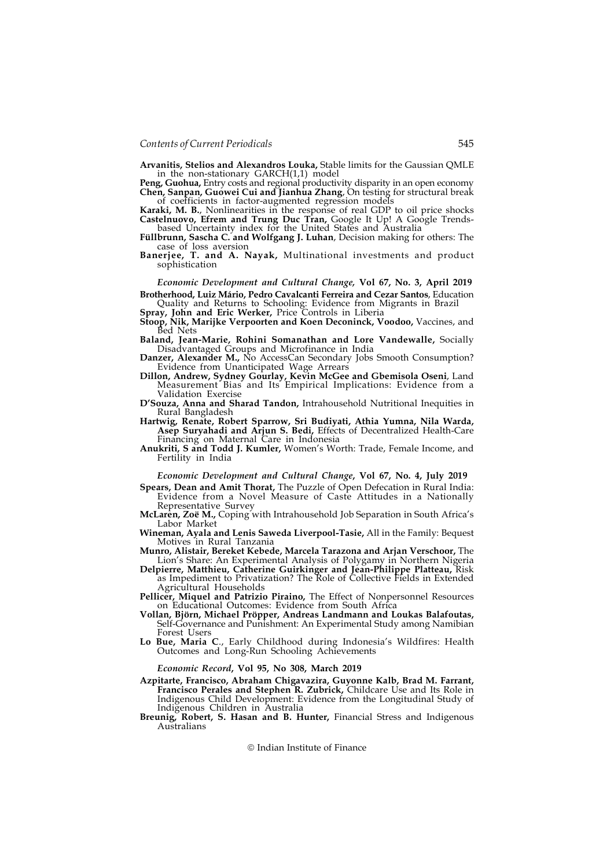Arvanitis, Stelios and Alexandros Louka, Stable limits for the Gaussian QMLE in the non-stationary GARCH(1,1) model

Peng, Guohua, Entry costs and regional productivity disparity in an open economy Chen, Sanpan, Guowei Cui and Jianhua Zhang, On testing for structural break of coefficients in factor-augmented regression models

Karaki, M. B., Nonlinearities in the response of real GDP to oil price shocks Castelnuovo, Efrem and Trung Duc Tran, Google It Up! A Google Trendsbased Uncertainty index for the United States and Australia

Füllbrunn, Sascha C. and Wolfgang J. Luhan, Decision making for others: The case of loss aversion

Banerjee, T. and A. Nayak, Multinational investments and product sophistication

Economic Development and Cultural Change, Vol 67, No. 3, April 2019 Brotherhood, Luiz Mário, Pedro Cavalcanti Ferreira and Cezar Santos, Education

Quality and Returns to Schooling: Evidence from Migrants in Brazil

Spray, John and Eric Werker, Price Controls in Liberia

- Stoop, Nik, Marijke Verpoorten and Koen Deconinck, Voodoo, Vaccines, and Bed Nets
- Baland, Jean-Marie, Rohini Somanathan and Lore Vandewalle, Socially Disadvantaged Groups and Microfinance in India
- Danzer, Alexander M., No AccessCan Secondary Jobs Smooth Consumption? Evidence from Unanticipated Wage Arrears
- Dillon, Andrew, Sydney Gourlay, Kevin McGee and Gbemisola Oseni, Land Measurement Bias and Its Empirical Implications: Evidence from a Validation Exercise
- D'Souza, Anna and Sharad Tandon, Intrahousehold Nutritional Inequities in Rural Bangladesh
- Hartwig, Renate, Robert Sparrow, Sri Budiyati, Athia Yumna, Nila Warda, Asep Suryahadi and Arjun S. Bedi, Effects of Decentralized Health-Care Financing on Maternal Care in Indonesia
- Anukriti, S and Todd J. Kumler, Women's Worth: Trade, Female Income, and Fertility in India

## Economic Development and Cultural Change, Vol 67, No. 4, July 2019

- Spears, Dean and Amit Thorat, The Puzzle of Open Defecation in Rural India: Evidence from a Novel Measure of Caste Attitudes in a Nationally Representative Survey
- McLaren, Zoë M., Coping with Intrahousehold Job Separation in South Africa's Labor Market
- Wineman, Ayala and Lenis Saweda Liverpool-Tasie, All in the Family: Bequest Motives in Rural Tanzania
- Munro, Alistair, Bereket Kebede, Marcela Tarazona and Arjan Verschoor, The Lion's Share: An Experimental Analysis of Polygamy in Northern Nigeria
- Delpierre, Matthieu, Catherine Guirkinger and Jean-Philippe Platteau, Risk as Impediment to Privatization? The Role of Collective Fields in Extended Agricultural Households
- Pellicer, Miquel and Patrizio Piraino, The Effect of Nonpersonnel Resources on Educational Outcomes: Evidence from South Africa
- Vollan, Björn, Michael Pröpper, Andreas Landmann and Loukas Balafoutas, Self-Governance and Punishment: An Experimental Study among Namibian Forest Users
- Lo Bue, Maria C., Early Childhood during Indonesia's Wildfires: Health Outcomes and Long-Run Schooling Achievements

#### Economic Record, Vol 95, No 308, March 2019

- Azpitarte, Francisco, Abraham Chigavazira, Guyonne Kalb, Brad M. Farrant, Francisco Perales and Stephen R. Zubrick, Childcare Use and Its Role in Indigenous Child Development: Evidence from the Longitudinal Study of Indigenous Children in Australia
- Breunig, Robert, S. Hasan and B. Hunter, Financial Stress and Indigenous Australians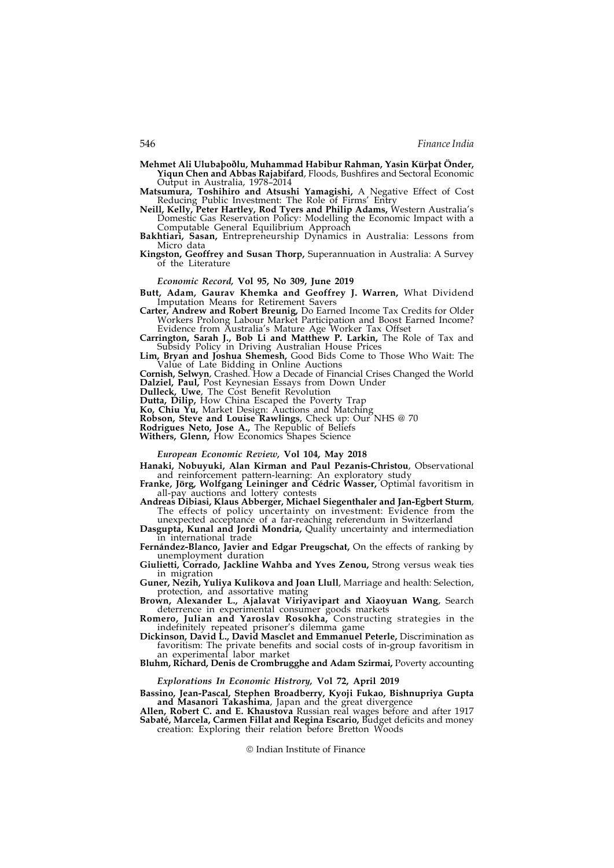Mehmet Ali Ulubaþoðlu, Muhammad Habibur Rahman, Yasin Kürþat Önder, Yiqun Chen and Abbas Rajabifard, Floods, Bushfires and Sectoral Economic

Output in Australia, 1978–2014 Matsumura, Toshihiro and Atsushi Yamagishi, A Negative Effect of Cost Reducing Public Investment: The Role of Firms' Entry

Neill, Kelly, Peter Hartley, Rod Tyers and Philip Adams, Western Australia's Domestic Gas Reservation Policy: Modelling the Economic Impact with a Computable General Equilibrium Approach

Bakhtiari, Sasan, Entrepreneurship Dynamics in Australia: Lessons from Micro data

Kingston, Geoffrey and Susan Thorp, Superannuation in Australia: A Survey of the Literature

#### Economic Record, Vol 95, No 309, June 2019

Butt, Adam, Gaurav Khemka and Geoffrey J. Warren, What Dividend Imputation Means for Retirement Savers

Carter, Andrew and Robert Breunig, Do Earned Income Tax Credits for Older Workers Prolong Labour Market Participation and Boost Earned Income? Evidence from Australia's Mature Age Worker Tax Offset

Carrington, Sarah J., Bob Li and Matthew P. Larkin, The Role of Tax and Subsidy Policy in Driving Australian House Prices

Lim, Bryan and Joshua Shemesh, Good Bids Come to Those Who Wait: The Value of Late Bidding in Online Auctions

Cornish, Selwyn, Crashed. How a Decade of Financial Crises Changed the World Dalziel, Paul, Post Keynesian Essays from Down Under

Dulleck, Uwe, The Cost Benefit Revolution

Dutta, Dilip, How China Escaped the Poverty Trap

Ko, Chiu Yu, Market Design: Auctions and Matching

Robson, Steve and Louise Rawlings, Check up: Our NHS @ 70

Rodrigues Neto, Jose A., The Republic of Beliefs Withers, Glenn, How Economics Shapes Science

## European Economic Review, Vol 104, May 2018

Hanaki, Nobuyuki, Alan Kirman and Paul Pezanis-Christou, Observational and reinforcement pattern-learning: An exploratory study

Franke, Jörg, Wolfgang Leininger and Cédric Wasser, Optimal favoritism in all-pay auctions and lottery contests

Andreas Dibiasi, Klaus Abberger, Michael Siegenthaler and Jan-Egbert Sturm, The effects of policy uncertainty on investment: Evidence from the unexpected acceptance of a far-reaching referendum in Switzerland

Dasgupta, Kunal and Jordi Mondria, Quality uncertainty and intermediation in international trade

Fernández-Blanco, Javier and Edgar Preugschat, On the effects of ranking by unemployment duration

Giulietti, Corrado, Jackline Wahba and Yves Zenou, Strong versus weak ties in migration

Guner, Nezih, Yuliya Kulikova and Joan Llull, Marriage and health: Selection, protection, and assortative mating

Brown, Alexander L., Ajalavat Viriyavipart and Xiaoyuan Wang, Search deterrence in experimental consumer goods markets

Romero, Julian and Yaroslav Rosokha, Constructing strategies in the indefinitely repeated prisoner's dilemma game

Dickinson, David L., David Masclet and Emmanuel Peterle, Discrimination as favoritism: The private benefits and social costs of in-group favoritism in an experimental labor market

Bluhm, Richard, Denis de Crombrugghe and Adam Szirmai, Poverty accounting

## Explorations In Economic Histrory, Vol 72, April 2019

Bassino, Jean-Pascal, Stephen Broadberry, Kyoji Fukao, Bishnupriya Gupta and Masanori Takashima, Japan and the great divergence

Allen, Robert C. and E. Khaustova Russian real wages before and after 1917 Sabaté, Marcela, Carmen Fillat and Regina Escario, Budget deficits and money creation: Exploring their relation before Bretton Woods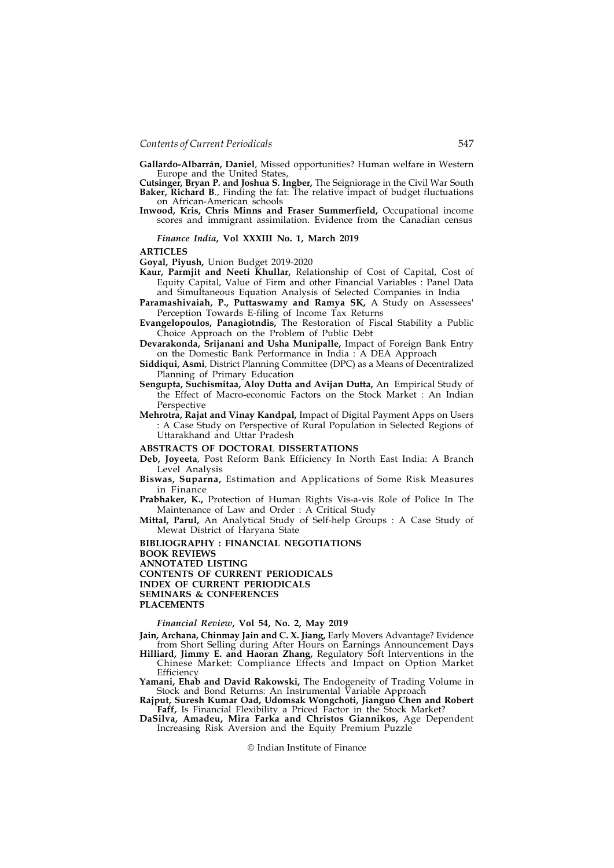Gallardo-Albarrán, Daniel, Missed opportunities? Human welfare in Western Europe and the United States,

Cutsinger, Bryan P. and Joshua S. Ingber, The Seigniorage in the Civil War South Baker, Richard B., Finding the fat: The relative impact of budget fluctuations on African-American schools

Inwood, Kris, Chris Minns and Fraser Summerfield, Occupational income scores and immigrant assimilation. Evidence from the Canadian census

#### Finance India, Vol XXXIII No. 1, March 2019

ARTICLES

Goyal, Piyush, Union Budget 2019-2020

- Kaur, Parmjit and Neeti Khullar, Relationship of Cost of Capital, Cost of Equity Capital, Value of Firm and other Financial Variables : Panel Data and Simultaneous Equation Analysis of Selected Companies in India
- Paramashivaiah, P., Puttaswamy and Ramya SK, A Study on Assessees' Perception Towards E-filing of Income Tax Returns
- Evangelopoulos, Panagiotndis, The Restoration of Fiscal Stability a Public Choice Approach on the Problem of Public Debt
- Devarakonda, Srijanani and Usha Munipalle, Impact of Foreign Bank Entry on the Domestic Bank Performance in India : A DEA Approach

Siddiqui, Asmi, District Planning Committee (DPC) as a Means of Decentralized Planning of Primary Education

Sengupta, Suchismitaa, Aloy Dutta and Avijan Dutta, An Empirical Study of the Effect of Macro-economic Factors on the Stock Market : An Indian Perspective

Mehrotra, Rajat and Vinay Kandpal, Impact of Digital Payment Apps on Users : A Case Study on Perspective of Rural Population in Selected Regions of Uttarakhand and Uttar Pradesh

## ABSTRACTS OF DOCTORAL DISSERTATIONS

- Deb, Joyeeta, Post Reform Bank Efficiency In North East India: A Branch Level Analysis
- Biswas, Suparna, Estimation and Applications of Some Risk Measures in Finance

Prabhaker, K., Protection of Human Rights Vis-a-vis Role of Police In The Maintenance of Law and Order : A Critical Study

Mittal, Parul, An Analytical Study of Self-help Groups : A Case Study of Mewat District of Haryana State

BIBLIOGRAPHY : FINANCIAL NEGOTIATIONS

BOOK REVIEWS

ANNOTATED LISTING

CONTENTS OF CURRENT PERIODICALS INDEX OF CURRENT PERIODICALS

SEMINARS & CONFERENCES

PLACEMENTS

## Financial Review, Vol 54, No. 2, May 2019

Jain, Archana, Chinmay Jain and C. X. Jiang, Early Movers Advantage? Evidence from Short Selling during After Hours on Earnings Announcement Days

Hilliard, Jimmy E. and Haoran Zhang, Regulatory Soft Interventions in the Chinese Market: Compliance Effects and Impact on Option Market **Efficiency** 

Yamani, Ehab and David Rakowski, The Endogeneity of Trading Volume in Stock and Bond Returns: An Instrumental Variable Approach

Rajput, Suresh Kumar Oad, Udomsak Wongchoti, Jianguo Chen and Robert Faff, Is Financial Flexibility a Priced Factor in the Stock Market?

DaSilva, Amadeu, Mira Farka and Christos Giannikos, Age Dependent Increasing Risk Aversion and the Equity Premium Puzzle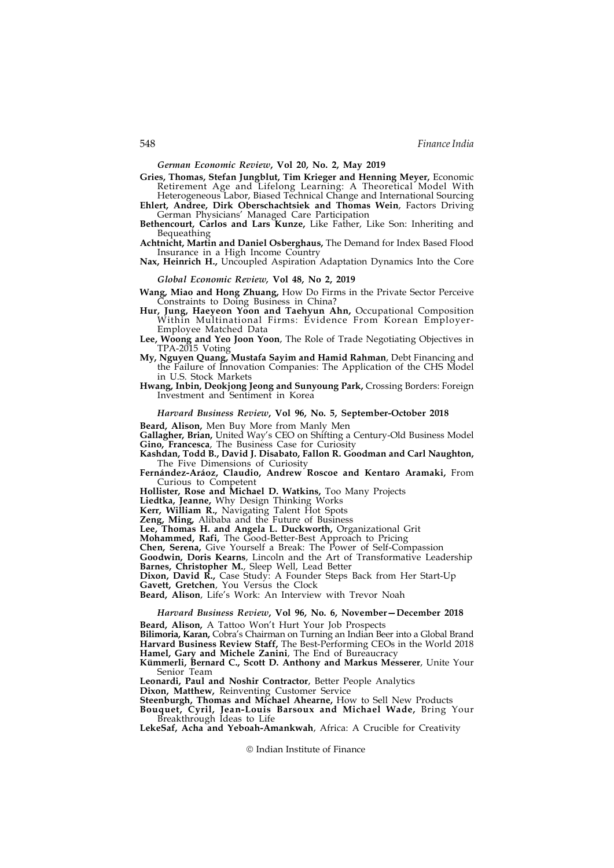German Economic Review, Vol 20, No. 2, May 2019

Gries, Thomas, Stefan Jungblut, Tim Krieger and Henning Meyer, Economic Retirement Age and Lifelong Learning: A Theoretical Model With Heterogeneous Labor, Biased Technical Change and International Sourcing

Ehlert, Andree, Dirk Oberschachtsiek and Thomas Wein, Factors Driving German Physicians' Managed Care Participation

Bethencourt, Carlos and Lars Kunze, Like Father, Like Son: Inheriting and Bequeathing

Achtnicht, Martin and Daniel Osberghaus, The Demand for Index Based Flood Insurance in a High Income Country

Nax, Heinrich H., Uncoupled Aspiration Adaptation Dynamics Into the Core

Global Economic Review, Vol 48, No 2, 2019

Wang, Miao and Hong Zhuang, How Do Firms in the Private Sector Perceive Constraints to Doing Business in China?

Hur, Jung, Haeyeon Yoon and Taehyun Ahn, Occupational Composition Within Multinational Firms: Evidence From Korean Employer-Employee Matched Data

Lee, Woong and Yeo Joon Yoon, The Role of Trade Negotiating Objectives in TPA-2015 Voting

My, Nguyen Quang, Mustafa Sayim and Hamid Rahman, Debt Financing and the Failure of Innovation Companies: The Application of the CHS Model in U.S. Stock Markets

Hwang, Inbin, Deokjong Jeong and Sunyoung Park, Crossing Borders: Foreign Investment and Sentiment in Korea

## Harvard Business Review, Vol 96, No. 5, September-October 2018

Beard, Alison, Men Buy More from Manly Men

Gallagher, Brian, United Way's CEO on Shifting a Century-Old Business Model

Gino, Francesca, The Business Case for Curiosity Kashdan, Todd B., David J. Disabato, Fallon R. Goodman and Carl Naughton,

The Five Dimensions of Curiosity

Fernández-Aráoz, Claudio, Andrew Roscoe and Kentaro Aramaki, From Curious to Competent

Hollister, Rose and Michael D. Watkins, Too Many Projects

Liedtka, Jeanne, Why Design Thinking Works

Kerr, William R., Navigating Talent Hot Spots

Zeng, Ming, Alibaba and the Future of Business

Lee, Thomas H. and Angela L. Duckworth, Organizational Grit

Mohammed, Rafi, The Good-Better-Best Approach to Pricing

Chen, Serena, Give Yourself a Break: The Power of Self-Compassion

Goodwin, Doris Kearns, Lincoln and the Art of Transformative Leadership Barnes, Christopher M., Sleep Well, Lead Better

Dixon, David R., Case Study: A Founder Steps Back from Her Start-Up

Gavett, Gretchen, You Versus the Clock

Beard, Alison, Life's Work: An Interview with Trevor Noah

# Harvard Business Review, Vol 96, No. 6, November—December 2018

Beard, Alison, A Tattoo Won't Hurt Your Job Prospects

Bilimoria, Karan, Cobra's Chairman on Turning an Indian Beer into a Global Brand Harvard Business Review Staff, The Best-Performing CEOs in the World 2018 Hamel, Gary and Michele Zanini, The End of Bureaucracy

Kümmerli, Bernard C., Scott D. Anthony and Markus Messerer, Unite Your Senior Team

Leonardi, Paul and Noshir Contractor, Better People Analytics

Dixon, Matthew, Reinventing Customer Service

Steenburgh, Thomas and Michael Ahearne, How to Sell New Products

Bouquet, Cyril, Jean-Louis Barsoux and Michael Wade, Bring Your Breakthrough Ideas to Life

LekeSaf, Acha and Yeboah-Amankwah, Africa: A Crucible for Creativity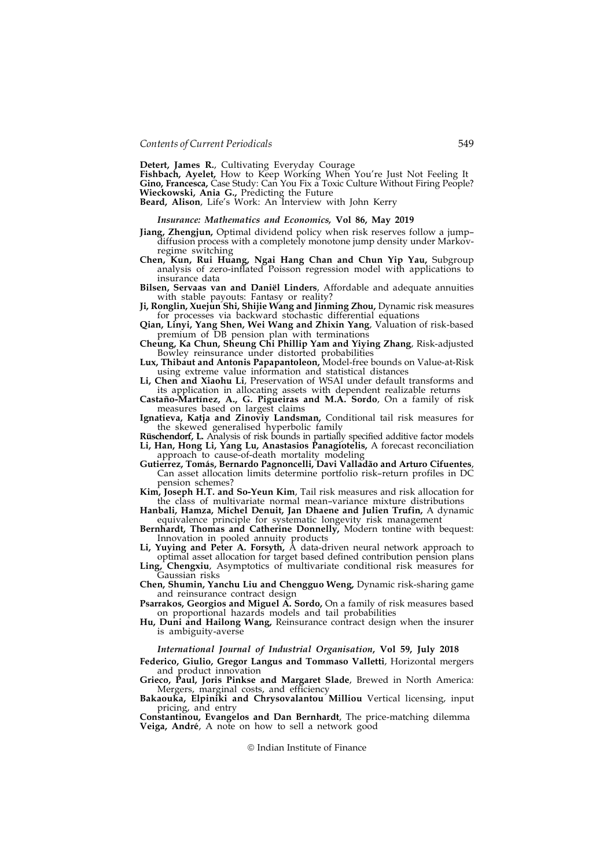Detert, James R., Cultivating Everyday Courage

Fishbach, Ayelet, How to Keep Working When You're Just Not Feeling It **Gino, Francesca,** Case Study: Can You Fix a Toxic Culture Without Firing People?<br>**Wieckowski, Ania G.,** Predicting the Future

Beard, Alison, Life's Work: An Interview with John Kerry

#### Insurance: Mathematics and Economics, Vol 86, May 2019

- Jiang, Zhengjun, Optimal dividend policy when risk reserves follow a jump– diffusion process with a completely monotone jump density under Markovregime switching
- Chen, Kun, Rui Huang, Ngai Hang Chan and Chun Yip Yau, Subgroup analysis of zero-inflated Poisson regression model with applications to insurance data
- Bilsen, Servaas van and Daniël Linders, Affordable and adequate annuities with stable payouts: Fantasy or reality?
- Ji, Ronglin, Xuejun Shi, Shijie Wang and Jinming Zhou, Dynamic risk measures for processes via backward stochastic differential equations
- Qian, Linyi, Yang Shen, Wei Wang and Zhixin Yang, Valuation of risk-based premium of DB pension plan with terminations
- Cheung, Ka Chun, Sheung Chi Phillip Yam and Yiying Zhang, Risk-adjusted Bowley reinsurance under distorted probabilities

Lux, Thibaut and Antonis Papapantoleon, Model-free bounds on Value-at-Risk using extreme value information and statistical distances

- Chen and Xiaohu Li, Preservation of WSAI under default transforms and its application in allocating assets with dependent realizable returns
- Castaño-Martínez, A., G. Pigueiras and M.A. Sordo, On a family of risk measures based on largest claims
- Ignatieva, Katja and Zinoviy Landsman, Conditional tail risk measures for the skewed generalised hyperbolic family
- Rüschendorf, L. Analysis of risk bounds in partially specified additive factor models Li, Han, Hong Li, Yang Lu, Anastasios Panagiotelis, A forecast reconciliation approach to cause-of-death mortality modeling
- Gutierrez, Tomás, Bernardo Pagnoncelli, Davi Valladão and Arturo Cifuentes, Can asset allocation limits determine portfolio risk–return profiles in DC pension schemes?
- Kim, Joseph H.T. and So-Yeun Kim, Tail risk measures and risk allocation for the class of multivariate normal mean–variance mixture distributions

Hanbali, Hamza, Michel Denuit, Jan Dhaene and Julien Trufin, A dynamic equivalence principle for systematic longevity risk management

Bernhardt, Thomas and Catherine Donnelly, Modern tontine with bequest: Innovation in pooled annuity products

Li, Yuying and Peter A. Forsyth, A data-driven neural network approach to optimal asset allocation for target based defined contribution pension plans

Ling, Chengxiu, Asymptotics of multivariate conditional risk measures for Gaussian risks

Chen, Shumin, Yanchu Liu and Chengguo Weng, Dynamic risk-sharing game and reinsurance contract design

Psarrakos, Georgios and Miguel A. Sordo, On a family of risk measures based on proportional hazards models and tail probabilities

Hu, Duni and Hailong Wang, Reinsurance contract design when the insurer is ambiguity-averse

#### International Journal of Industrial Organisation, Vol 59, July 2018

Federico, Giulio, Gregor Langus and Tommaso Valletti, Horizontal mergers and product innovation

Grieco, Paul, Joris Pinkse and Margaret Slade, Brewed in North America: Mergers, marginal costs, and efficiency

Bakaouka, Elpiniki and Chrysovalantou Milliou Vertical licensing, input pricing, and entry

Constantinou, Evangelos and Dan Bernhardt, The price-matching dilemma Veiga, André, A note on how to sell a network good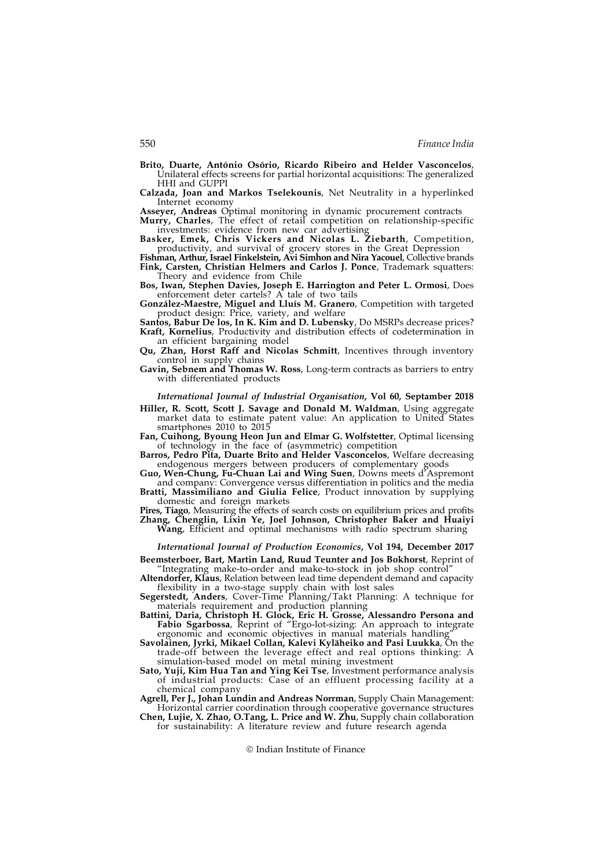- Brito, Duarte, António Osório, Ricardo Ribeiro and Helder Vasconcelos, Unilateral effects screens for partial horizontal acquisitions: The generalized HHI and GUPPI
- Calzada, Joan and Markos Tselekounis, Net Neutrality in a hyperlinked Internet economy<br>Assever, Andreas Optimal monitoring in dynamic procurement contracts

Murry, Charles, The effect of retail competition on relationship-specific investments: evidence from new car advertising

Basker, Emek, Chris Vickers and Nicolas L. Ziebarth, Competition, productivity, and survival of grocery stores in the Great Depression

Fishman, Arthur, Israel Finkelstein, Avi Simhon and Nira Yacouel, Collective brands Fink, Carsten, Christian Helmers and Carlos J. Ponce, Trademark squatters: Theory and evidence from Chile

Bos, Iwan, Stephen Davies, Joseph E. Harrington and Peter L. Ormosi, Does enforcement deter cartels? A tale of two tails

González-Maestre, Miguel and Lluís M. Granero, Competition with targeted product design: Price, variety, and welfare

Santos, Babur De los, In K. Kim and D. Lubensky, Do MSRPs decrease prices? Kraft, Kornelius, Productivity and distribution effects of codetermination in an efficient bargaining model

Qu, Zhan, Horst Raff and Nicolas Schmitt, Incentives through inventory control in supply chains

Gavin, Sebnem and Thomas W. Ross, Long-term contracts as barriers to entry with differentiated products

International Journal of Industrial Organisation, Vol 60, Septamber 2018

Hiller, R. Scott, Scott J. Savage and Donald M. Waldman, Using aggregate market data to estimate patent value: An application to United States smartphones 2010 to 2015

Fan, Cuihong, Byoung Heon Jun and Elmar G. Wolfstetter, Optimal licensing of technology in the face of (asymmetric) competition

Barros, Pedro Pita, Duarte Brito and Helder Vasconcelos, Welfare decreasing endogenous mergers between producers of complementary goods

Guo, Wen-Chung, Fu-Chuan Lai and Wing Suen, Downs meets d'Aspremont and company: Convergence versus differentiation in politics and the media

Bratti, Massimiliano and Giulia Felice, Product innovation by supplying domestic and foreign markets

Pires, Tiago, Measuring the effects of search costs on equilibrium prices and profits Zhang, Chenglin, Lixin Ye, Joel Johnson, Christopher Baker and Huaiyi Wang, Efficient and optimal mechanisms with radio spectrum sharing

International Journal of Production Economics, Vol 194, December 2017 Beemsterboer, Bart, Martin Land, Ruud Teunter and Jos Bokhorst, Reprint of

"Integrating make-to-order and make-to-stock in job shop control" Altendorfer, Klaus, Relation between lead time dependent demand and capacity

flexibility in a two-stage supply chain with lost sales Segerstedt, Anders, Cover-Time Planning/Takt Planning: A technique for

materials requirement and production planning Battini, Daria, Christoph H. Glock, Eric H. Grosse, Alessandro Persona and Fabio Sgarbossa, Reprint of "Ergo-lot-sizing: An approach to integrate ergonomic and economic objectives in manual materials handling"

Savolainen, Jyrki, Mikael Collan, Kalevi Kyläheiko and Pasi Luukka, On the trade-off between the leverage effect and real options thinking: A simulation-based model on metal mining investment

Sato, Yuji, Kim Hua Tan and Ying Kei Tse, Investment performance analysis of industrial products: Case of an effluent processing facility at a chemical company

Agrell, Per J., Johan Lundin and Andreas Norrman, Supply Chain Management: Horizontal carrier coordination through cooperative governance structures

Chen, Lujie, X. Zhao, O.Tang, L. Price and W. Zhu, Supply chain collaboration for sustainability: A literature review and future research agenda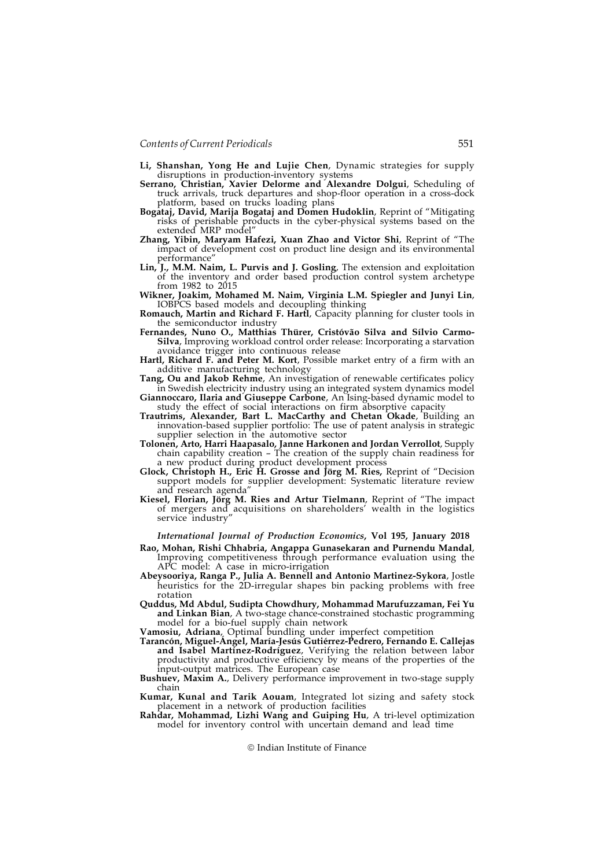- Li, Shanshan, Yong He and Lujie Chen, Dynamic strategies for supply disruptions in production-inventory systems
- Serrano, Christian, Xavier Delorme and Alexandre Dolgui, Scheduling of truck arrivals, truck departures and shop-floor operation in a cross-dock platform, based on trucks loading plans
- Bogataj, David, Marija Bogataj and Domen Hudoklin, Reprint of "Mitigating risks of perishable products in the cyber-physical systems based on the extended MRP model"
- Zhang, Yibin, Maryam Hafezi, Xuan Zhao and Victor Shi, Reprint of "The impact of development cost on product line design and its environmental performance"
- Lin, J., M.M. Naim, L. Purvis and J. Gosling, The extension and exploitation of the inventory and order based production control system archetype from 1982 to 2015
- Wikner, Joakim, Mohamed M. Naim, Virginia L.M. Spiegler and Junyi Lin, IOBPCS based models and decoupling thinking
- Romauch, Martin and Richard F. Hartl, Capacity planning for cluster tools in the semiconductor industry
- Fernandes, Nuno O., Matthias Thürer, Cristóvão Silva and Sílvio Carmo-Silva, Improving workload control order release: Incorporating a starvation avoidance trigger into continuous release
- Hartl, Richard F. and Peter M. Kort, Possible market entry of a firm with an additive manufacturing technology
- Tang, Ou and Jakob Rehme, An investigation of renewable certificates policy in Swedish electricity industry using an integrated system dynamics model
- Giannoccaro, Ilaria and Giuseppe Carbone, An Ising-based dynamic model to study the effect of social interactions on firm absorptive capacity
- Trautrims, Alexander, Bart L. MacCarthy and Chetan Okade, Building an innovation-based supplier portfolio: The use of patent analysis in strategic supplier selection in the automotive sector
- Tolonen, Arto, Harri Haapasalo, Janne Harkonen and Jordan Verrollot, Supply chain capability creation – The creation of the supply chain readiness for a new product during product development process
- Glock, Christoph H., Eric H. Grosse and Jörg M. Ries, Reprint of "Decision support models for supplier development: Systematic literature review and research agenda"
- Kiesel, Florian, Jörg M. Ries and Artur Tielmann, Reprint of "The impact of mergers and acquisitions on shareholders' wealth in the logistics service industry"

International Journal of Production Economics, Vol 195, January 2018

- Rao, Mohan, Rishi Chhabria, Angappa Gunasekaran and Purnendu Mandal, Improving competitiveness through performance evaluation using the APC model: A case in micro-irrigation
- Abeysooriya, Ranga P., Julia A. Bennell and Antonio Martinez-Sykora, Jostle heuristics for the 2D-irregular shapes bin packing problems with free rotation
- Quddus, Md Abdul, Sudipta Chowdhury, Mohammad Marufuzzaman, Fei Yu and Linkan Bian, A two-stage chance-constrained stochastic programming model for a bio-fuel supply chain network

Vamosiu, Adriana, Optimal bundling under imperfect competition

Tarancón, Miguel-Ángel, María-Jesús Gutiérrez-Pedrero, Fernando E. Callejas and Isabel Martínez-Rodríguez, Verifying the relation between labor productivity and productive efficiency by means of the properties of the input-output matrices. The European case

Bushuev, Maxim A., Delivery performance improvement in two-stage supply chain

Kumar, Kunal and Tarik Aouam, Integrated lot sizing and safety stock placement in a network of production facilities

Rahdar, Mohammad, Lizhi Wang and Guiping Hu, A tri-level optimization model for inventory control with uncertain demand and lead time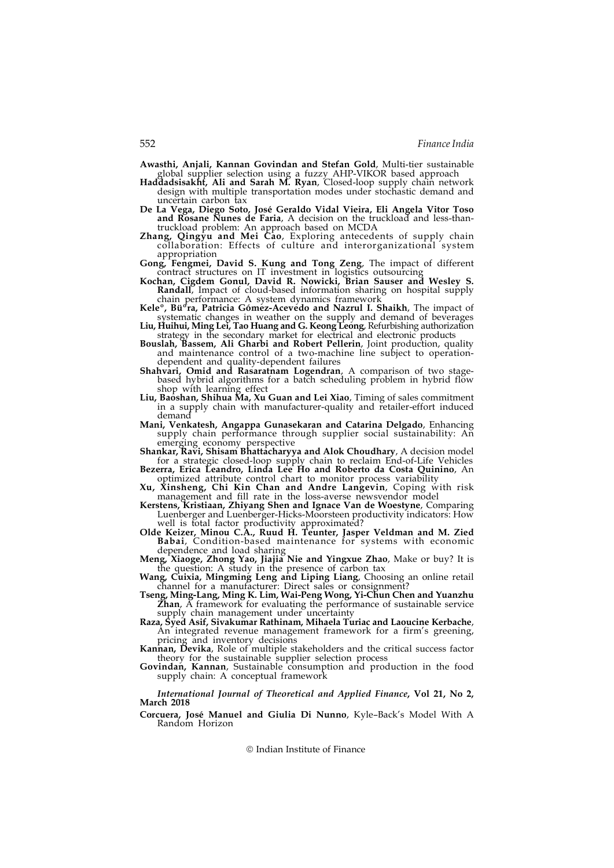Awasthi, Anjali, Kannan Govindan and Stefan Gold, Multi-tier sustainable global supplier selection using a fuzzy AHP-VIKOR based approach

- Haddadsisakht, Ali and Sarah M. Ryan, Closed-loop supply chain network design with multiple transportation modes under stochastic demand and uncertain carbon tax
- De La Vega, Diego Soto, José Geraldo Vidal Vieira, Eli Angela Vitor Toso and Rosane Nunes de Faria, A decision on the truckload and less-thantruckload problem: An approach based on MCDA
- Zhang, Qingyu and Mei Cao, Exploring antecedents of supply chain collaboration: Effects of culture and interorganizational system appropriation

Gong, Fengmei, David S. Kung and Tong Zeng, The impact of different contract structures on IT investment in logistics outsourcing

- Kochan, Cigdem Gonul, David R. Nowicki, Brian Sauser and Wesley S. Randall, Impact of cloud-based information sharing on hospital supply chain performance: A system dynamics framework
- Kele<sup>o</sup>, Bü<sup>d</sup>ra, Patricia Gómez-Acevedo and Nazrul I. Shaikh, The impact of systematic changes in weather on the supply and demand of beverages Liu, Huihui, Ming Lei, Tao Huang and G. Keong Leong, Refurbishing authorization
- strategy in the secondary market for electrical and electronic products Bouslah, Bassem, Ali Gharbi and Robert Pellerin, Joint production, quality
- and maintenance control of a two-machine line subject to operationdependent and quality-dependent failures
- Shahvari, Omid and Rasaratnam Logendran, A comparison of two stagebased hybrid algorithms for a batch scheduling problem in hybrid flow shop with learning effect
- Liu, Baoshan, Shihua Ma, Xu Guan and Lei Xiao, Timing of sales commitment in a supply chain with manufacturer-quality and retailer-effort induced demand
- Mani, Venkatesh, Angappa Gunasekaran and Catarina Delgado, Enhancing supply chain performance through supplier social sustainability: An emerging economy perspective
- Shankar, Ravi, Shisam Bhattacharyya and Alok Choudhary, A decision model for a strategic closed-loop supply chain to reclaim End-of-Life Vehicles Bezerra, Erica Leandro, Linda Lee Ho and Roberto da Costa Quinino, An
- optimized attribute control chart to monitor process variability
- Xu, Xinsheng, Chi Kin Chan and Andre Langevin, Coping with risk management and fill rate in the loss-averse newsvendor model
- Kerstens, Kristiaan, Zhiyang Shen and Ignace Van de Woestyne, Comparing Luenberger and Luenberger-Hicks-Moorsteen productivity indicators: How well is total factor productivity approximated?
- Olde Keizer, Minou C.A., Ruud H. Teunter, Jasper Veldman and M. Zied Babai, Condition-based maintenance for systems with economic dependence and load sharing Meng, Xiaoge, Zhong Yao, Jiajia Nie and Yingxue Zhao, Make or buy? It is
- the question: A study in the presence of carbon tax<br>**Wang, Cuixia, Mingming Leng and Liping Liang**, Choosing an online retail
- channel for a manufacturer: Direct sales or consignment?
- Tseng, Ming-Lang, Ming K. Lim, Wai-Peng Wong, Yi-Chun Chen and Yuanzhu **Zhan**, A framework for evaluating the performance of sustainable service supply chain management under uncertainty
- Raza, Syed Asif, Sivakumar Rathinam, Mihaela Turiac and Laoucine Kerbache, An integrated revenue management framework for a firm's greening, pricing and inventory decisions
- **Kannan, Devika, Role of multiple stakeholders and the critical success factor** theory for the sustainable supplier selection process
- Govindan, Kannan, Sustainable consumption and production in the food supply chain: A conceptual framework

International Journal of Theoretical and Applied Finance, Vol 21, No 2, March 2018

Corcuera, José Manuel and Giulia Di Nunno, Kyle–Back's Model With A Random Horizon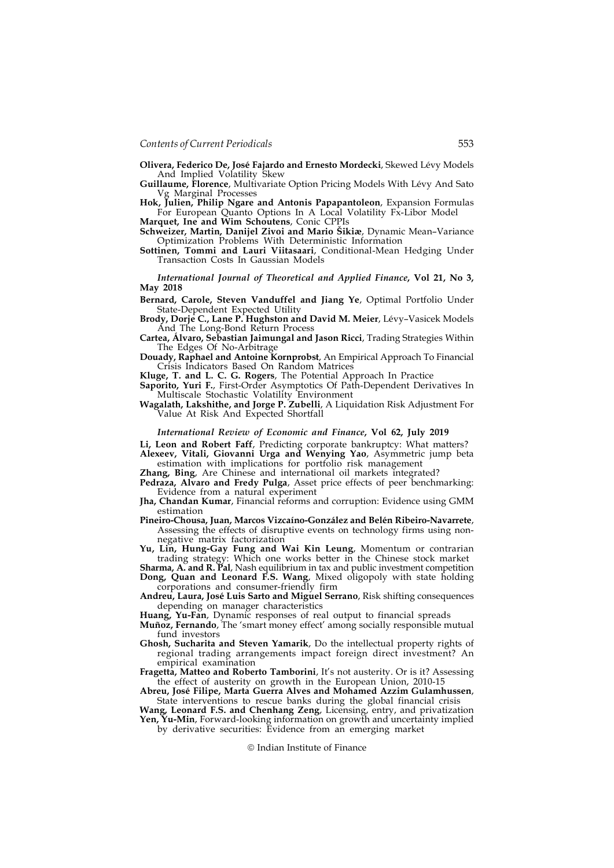Olivera, Federico De, José Fajardo and Ernesto Mordecki, Skewed Lévy Models And Implied Volatility Skew

Guillaume, Florence, Multivariate Option Pricing Models With Lévy And Sato Vg Marginal Processes

Hok, Julien, Philip Ngare and Antonis Papapantoleon, Expansion Formulas For European Quanto Options In A Local Volatility Fx-Libor Model

Marquet, Ine and Wim Schoutens, Conic CPPIs Schweizer, Martin, Danijel Zivoi and Mario Šikiæ, Dynamic Mean–Variance Optimization Problems With Deterministic Information

Sottinen, Tommi and Lauri Viitasaari, Conditional-Mean Hedging Under Transaction Costs In Gaussian Models

International Journal of Theoretical and Applied Finance, Vol 21, No 3, May 2018

Bernard, Carole, Steven Vanduffel and Jiang Ye, Optimal Portfolio Under State-Dependent Expected Utility

Brody, Dorje C., Lane P. Hughston and David M. Meier, Lévy–Vasicek Models And The Long-Bond Return Process

Cartea, Álvaro, Sebastian Jaimungal and Jason Ricci, Trading Strategies Within The Edges Of No-Arbitrage

Douady, Raphael and Antoine Kornprobst, An Empirical Approach To Financial Crisis Indicators Based On Random Matrices

Kluge, T. and L. C. G. Rogers, The Potential Approach In Practice

Saporito, Yuri F., First-Order Asymptotics Of Path-Dependent Derivatives In Multiscale Stochastic Volatility Environment

Wagalath, Lakshithe, and Jorge P. Zubelli, A Liquidation Risk Adjustment For Value At Risk And Expected Shortfall

## International Review of Economic and Finance, Vol 62, July 2019

Li, Leon and Robert Faff, Predicting corporate bankruptcy: What matters? Alexeev, Vitali, Giovanni Urga and Wenying Yao, Asymmetric jump beta estimation with implications for portfolio risk management

Zhang, Bing, Are Chinese and international oil markets integrated?

Pedraza, Alvaro and Fredy Pulga, Asset price effects of peer benchmarking: Evidence from a natural experiment

Jha, Chandan Kumar, Financial reforms and corruption: Evidence using GMM estimation

Pineiro-Chousa, Juan, Marcos Vizcaíno-González and Belén Ribeiro-Navarrete, Assessing the effects of disruptive events on technology firms using nonnegative matrix factorization

Yu, Lin, Hung-Gay Fung and Wai Kin Leung, Momentum or contrarian trading strategy: Which one works better in the Chinese stock market

Sharma, A. and R. Pal, Nash equilibrium in tax and public investment competition Dong, Quan and Leonard F.S. Wang, Mixed oligopoly with state holding corporations and consumer-friendly firm

Andreu, Laura, José Luis Sarto and Miguel Serrano, Risk shifting consequences depending on manager characteristics

Huang, Yu-Fan, Dynamic responses of real output to financial spreads

Muñoz, Fernando, The 'smart money effect' among socially responsible mutual fund investors

Ghosh, Sucharita and Steven Yamarik, Do the intellectual property rights of regional trading arrangements impact foreign direct investment? An empirical examination

Fragetta, Matteo and Roberto Tamborini, It's not austerity. Or is it? Assessing the effect of austerity on growth in the European Union, 2010-15

Abreu, José Filipe, Marta Guerra Alves and Mohamed Azzim Gulamhussen, State interventions to rescue banks during the global financial crisis

Wang, Leonard F.S. and Chenhang Zeng, Licensing, entry, and privatization **Yen, Yu-Min**, Forward-looking information on growth and uncertainty implied by derivative securities: Evidence from an emerging market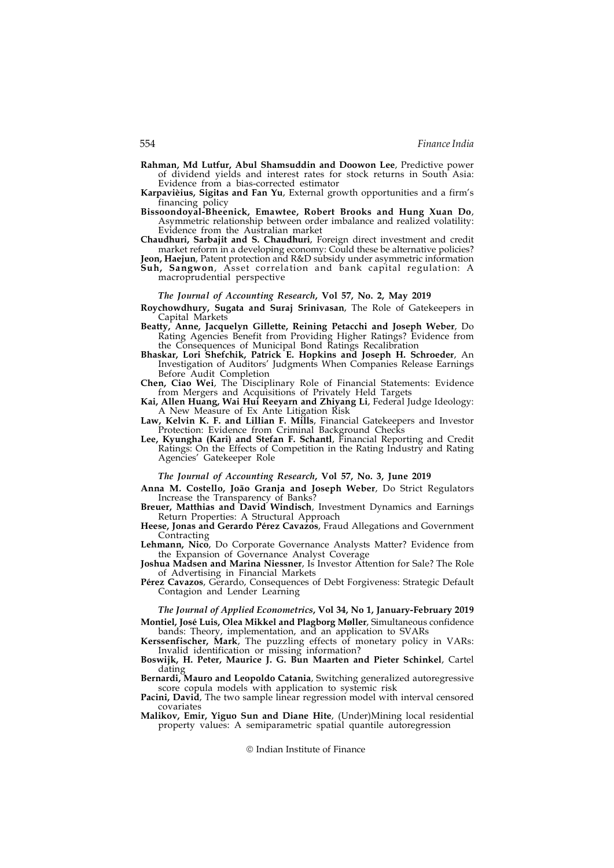- Rahman, Md Lutfur, Abul Shamsuddin and Doowon Lee, Predictive power of dividend yields and interest rates for stock returns in South Asia: Evidence from a bias-corrected estimator
- Karpavièius, Sigitas and Fan Yu, External growth opportunities and a firm's financing policy
- Bissoondoyal-Bheenick, Emawtee, Robert Brooks and Hung Xuan Do, Asymmetric relationship between order imbalance and realized volatility: Evidence from the Australian market
- Chaudhuri, Sarbajit and S. Chaudhuri, Foreign direct investment and credit market reform in a developing economy: Could these be alternative policies?
- Jeon, Haejun, Patent protection and R&D subsidy under asymmetric information Suh, Sangwon, Asset correlation and bank capital regulation: A macroprudential perspective

## The Journal of Accounting Research, Vol 57, No. 2, May 2019

- Roychowdhury, Sugata and Suraj Srinivasan, The Role of Gatekeepers in Capital Markets
- Beatty, Anne, Jacquelyn Gillette, Reining Petacchi and Joseph Weber, Do Rating Agencies Benefit from Providing Higher Ratings? Evidence from the Consequences of Municipal Bond Ratings Recalibration
- Bhaskar, Lori Shefchik, Patrick E. Hopkins and Joseph H. Schroeder, An Investigation of Auditors' Judgments When Companies Release Earnings Before Audit Completion
- Chen, Ciao Wei, The Disciplinary Role of Financial Statements: Evidence from Mergers and Acquisitions of Privately Held Targets
- Kai, Allen Huang, Wai Hui Reeyarn and Zhiyang Li, Federal Judge Ideology: A New Measure of Ex Ante Litigation Risk
- Law, Kelvin K. F. and Lillian F. Mills, Financial Gatekeepers and Investor Protection: Evidence from Criminal Background Checks
- Lee, Kyungha (Kari) and Stefan F. Schantl, Financial Reporting and Credit Ratings: On the Effects of Competition in the Rating Industry and Rating Agencies' Gatekeeper Role

#### The Journal of Accounting Research, Vol 57, No. 3, June 2019

- Anna M. Costello, João Granja and Joseph Weber, Do Strict Regulators Increase the Transparency of Banks?
- Breuer, Matthias and David Windisch, Investment Dynamics and Earnings Return Properties: A Structural Approach
- Heese, Jonas and Gerardo Pérez Cavazos, Fraud Allegations and Government **Contracting**
- Lehmann, Nico, Do Corporate Governance Analysts Matter? Evidence from the Expansion of Governance Analyst Coverage
- Joshua Madsen and Marina Niessner, Is Investor Attention for Sale? The Role of Advertising in Financial Markets
- Pérez Cavazos, Gerardo, Consequences of Debt Forgiveness: Strategic Default Contagion and Lender Learning

The Journal of Applied Econometrics, Vol 34, No 1, January-February 2019 Montiel, José Luis, Olea Mikkel and Plagborg Møller, Simultaneous confidence

bands: Theory, implementation, and an application to SVARs Kerssenfischer, Mark, The puzzling effects of monetary policy in VARs: Invalid identification or missing information?

Boswijk, H. Peter, Maurice J. G. Bun Maarten and Pieter Schinkel, Cartel dating

Bernardi, Mauro and Leopoldo Catania, Switching generalized autoregressive score copula models with application to systemic risk

Pacini, David, The two sample linear regression model with interval censored covariates

Malikov, Emir, Yiguo Sun and Diane Hite, (Under)Mining local residential property values: A semiparametric spatial quantile autoregression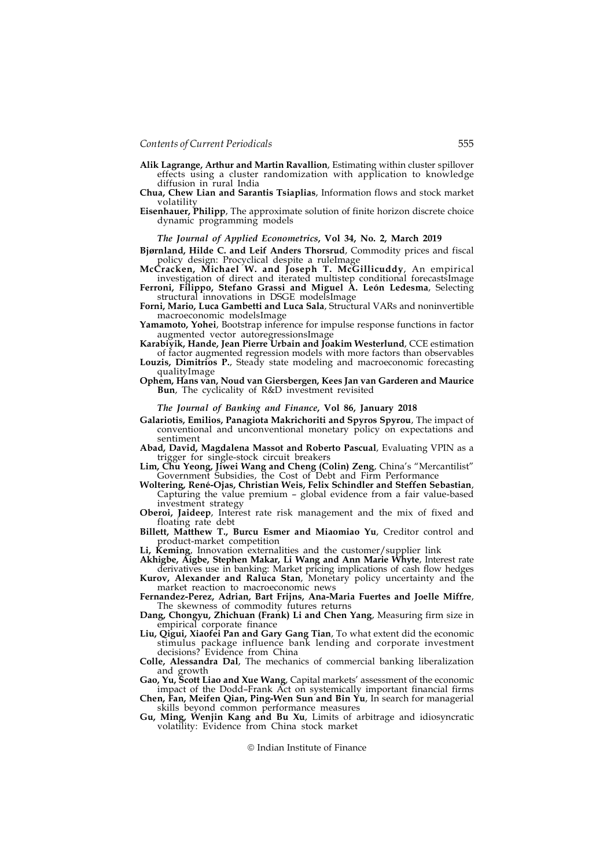- Alik Lagrange, Arthur and Martin Ravallion, Estimating within cluster spillover effects using a cluster randomization with application to knowledge diffusion in rural India
- Chua, Chew Lian and Sarantis Tsiaplias, Information flows and stock market volatility
- Eisenhauer, Philipp, The approximate solution of finite horizon discrete choice dynamic programming models

#### The Journal of Applied Econometrics, Vol 34, No. 2, March 2019

Bjørnland, Hilde C. and Leif Anders Thorsrud, Commodity prices and fiscal policy design: Procyclical despite a ruleImage

McCracken, Michael W. and Joseph T. McGillicuddy, An empirical investigation of direct and iterated multistep conditional forecastsImage

Ferroni, Filippo, Stefano Grassi and Miguel A. León Ledesma, Selecting structural innovations in DSGE modelsImage

Forni, Mario, Luca Gambetti and Luca Sala, Structural VARs and noninvertible macroeconomic modelsImage

Yamamoto, Yohei, Bootstrap inference for impulse response functions in factor augmented vector autoregressionsImage

Karabiyik, Hande, Jean Pierre Urbain and Joakim Westerlund, CCE estimation

of factor augmented regression models with more factors than observables Louzis, Dimitrios P., Steady state modeling and macroeconomic forecasting qualityImage

#### Ophem, Hans van, Noud van Giersbergen, Kees Jan van Garderen and Maurice Bun, The cyclicality of R&D investment revisited

## The Journal of Banking and Finance, Vol 86, January 2018

Galariotis, Emilios, Panagiota Makrichoriti and Spyros Spyrou, The impact of conventional and unconventional monetary policy on expectations and sentiment

Abad, David, Magdalena Massot and Roberto Pascual, Evaluating VPIN as a trigger for single-stock circuit breakers

Lim, Chu Yeong, Jiwei Wang and Cheng (Colin) Zeng, China's "Mercantilist" Government Subsidies, the Cost of Debt and Firm Performance

Woltering, René-Ojas, Christian Weis, Felix Schindler and Steffen Sebastian, Capturing the value premium – global evidence from a fair value-based investment strategy

Oberoi, Jaideep, Interest rate risk management and the mix of fixed and floating rate debt

Billett, Matthew T., Burcu Esmer and Miaomiao Yu, Creditor control and product-market competition

Li, Keming, Innovation externalities and the customer/supplier link

Akhigbe, Aigbe, Stephen Makar, Li Wang and Ann Marie Whyte, Interest rate derivatives use in banking: Market pricing implications of cash flow hedges Kurov, Alexander and Raluca Stan, Monetary policy uncertainty and the

market reaction to macroeconomic news Fernandez-Perez, Adrian, Bart Frijns, Ana-Maria Fuertes and Joelle Miffre,

The skewness of commodity futures returns

Dang, Chongyu, Zhichuan (Frank) Li and Chen Yang, Measuring firm size in empirical corporate finance

Liu, Qigui, Xiaofei Pan and Gary Gang Tian, To what extent did the economic stimulus package influence bank lending and corporate investment decisions? Evidence from China

Colle, Alessandra Dal, The mechanics of commercial banking liberalization and growth

Gao, Yu, Scott Liao and Xue Wang, Capital markets' assessment of the economic impact of the Dodd–Frank Act on systemically important financial firms Chen, Fan, Meifen Qian, Ping-Wen Sun and Bin Yu, In search for managerial

skills beyond common performance measures

Gu, Ming, Wenjin Kang and Bu Xu, Limits of arbitrage and idiosyncratic volatility: Evidence from China stock market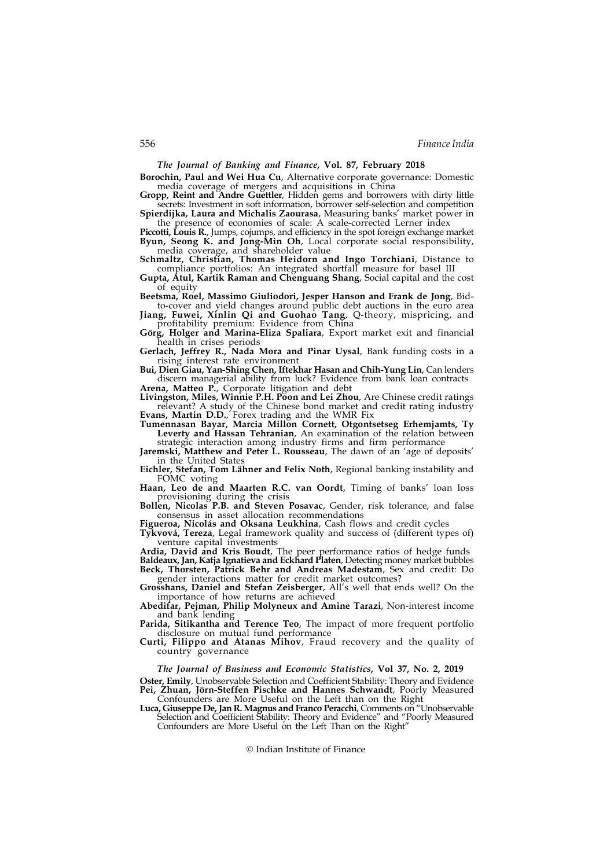The Journal of Banking and Finance, Vol. 87, February 2018

Borochin, Paul and Wei Hua Cu, Alternative corporate governance: Domestic media coverage of mergers and acquisitions in China

Gropp, Reint and Andre Guettler, Hidden gems and borrowers with dirty little secrets: Investment in soft information, borrower self-selection and competition Spierdijka, Laura and Michalis Zaourasa, Measuring banks' market power in

the presence of economies of scale: A scale-corrected Lerner index

Piccotti, Louis R., Jumps, cojumps, and efficiency in the spot foreign exchange market Byun, Seong K. and Jong-Min Oh, Local corporate social responsibility, media coverage, and shareholder value

Schmaltz, Christian, Thomas Heidorn and Ingo Torchiani, Distance to compliance portfolios: An integrated shortfall measure for basel III

Gupta, Atul, Kartik Raman and Chenguang Shang, Social capital and the cost of equity

Beetsma, Roel, Massimo Giuliodori, Jesper Hanson and Frank de Jong, Bidto-cover and yield changes around public debt auctions in the euro area

Jiang, Fuwei, Xinlin Qi and Guohao Tang, Q-theory, mispricing, and profitability premium: Evidence from China

Görg, Holger and Marina-Eliza Spaliara, Export market exit and financial health in crises periods

Gerlach, Jeffrey R., Nada Mora and Pinar Uysal, Bank funding costs in a rising interest rate environment

Bui, Dien Giau, Yan-Shing Chen, Iftekhar Hasan and Chih-Yung Lin, Can lenders discern managerial ability from luck? Evidence from bank loan contracts Arena, Matteo P., Corporate litigation and debt

Livingston, Miles, Winnie P.H. Poon and Lei Zhou, Are Chinese credit ratings relevant? A study of the Chinese bond market and credit rating industry Evans, Martin D.D., Forex trading and the WMR Fix

Tumennasan Bayar, Marcia Millon Cornett, Otgontsetseg Erhemjamts, Ty Leverty and Hassan Tehranian, An examination of the relation between

strategic interaction among industry firms and firm performance Jaremski, Matthew and Peter L. Rousseau, The dawn of an 'age of deposits' in the United States

Eichler, Stefan, Tom Lähner and Felix Noth, Regional banking instability and FOMC voting

Haan, Leo de and Maarten R.C. van Oordt, Timing of banks' loan loss provisioning during the crisis

Bollen, Nicolas P.B. and Steven Posavac, Gender, risk tolerance, and false consensus in asset allocation recommendations

Figueroa, Nicolás and Oksana Leukhina, Cash flows and credit cycles

Tykvová, Tereza, Legal framework quality and success of (different types of) venture capital investments

Ardia, David and Kris Boudt, The peer performance ratios of hedge funds Baldeaux, Jan, Katja Ignatieva and Eckhard Platen, Detecting money market bubbles Beck, Thorsten, Patrick Behr and Andreas Madestam, Sex and credit: Do gender interactions matter for credit market outcomes?

Grosshans, Daniel and Stefan Zeisberger, All's well that ends well? On the importance of how returns are achieved

Abedifar, Pejman, Philip Molyneux and Amine Tarazi, Non-interest income and bank lending

Parida, Sitikantha and Terence Teo, The impact of more frequent portfolio disclosure on mutual fund performance

Curti, Filippo and Atanas Mihov, Fraud recovery and the quality of country governance

The Journal of Business and Economic Statistics, Vol 37, No. 2, 2019

Oster, Emily, Unobservable Selection and Coefficient Stability: Theory and Evidence Pei, Zhuan, Jörn-Steffen Pischke and Hannes Schwandt, Poorly Measured Confounders are More Useful on the Left than on the Right

Luca, Giuseppe De, Jan R. Magnus and Franco Peracchi, Comments on "Unobservable Selection and Coefficient Stability: Theory and Evidence" and "Poorly Measured Confounders are More Useful on the Left Than on the Right"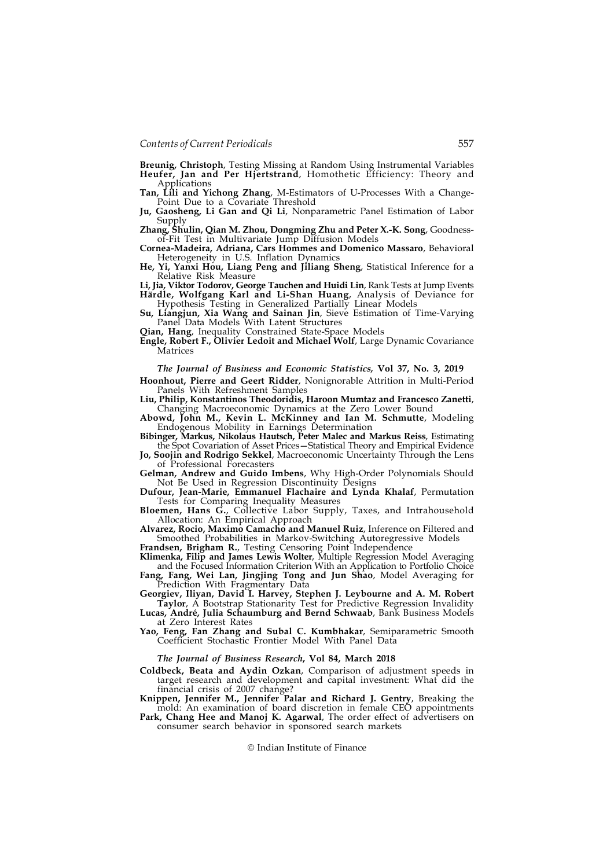Breunig, Christoph, Testing Missing at Random Using Instrumental Variables Heufer, Jan and Per Hjertstrand, Homothetic Efficiency: Theory and **Applications** 

Tan, Lili and Yichong Zhang, M-Estimators of U-Processes With a Change-Point Due to a Covariate Threshold

Ju, Gaosheng, Li Gan and Qi Li, Nonparametric Panel Estimation of Labor Supply

Zhang, Shulin, Qian M. Zhou, Dongming Zhu and Peter X.-K. Song, Goodnessof-Fit Test in Multivariate Jump Diffusion Models

Cornea-Madeira, Adriana, Cars Hommes and Domenico Massaro, Behavioral Heterogeneity in U.S. Inflation Dynamics

He, Yi, Yanxi Hou, Liang Peng and Jiliang Sheng, Statistical Inference for a Relative Risk Measure

Li, Jia, Viktor Todorov, George Tauchen and Huidi Lin, Rank Tests at Jump Events Härdle, Wolfgang Karl and Li-Shan Huang, Analysis of Deviance for Hypothesis Testing in Generalized Partially Linear Models

Su, Liangjun, Xia Wang and Sainan Jin, Sieve Estimation of Time-Varying Panel Data Models With Latent Structures

Qian, Hang, Inequality Constrained State-Space Models

Engle, Robert F., Olivier Ledoit and Michael Wolf, Large Dynamic Covariance **Matrices** 

The Journal of Business and Economic Statistics, Vol 37, No. 3, 2019

Hoonhout, Pierre and Geert Ridder, Nonignorable Attrition in Multi-Period Panels With Refreshment Samples

Liu, Philip, Konstantinos Theodoridis, Haroon Mumtaz and Francesco Zanetti, Changing Macroeconomic Dynamics at the Zero Lower Bound

Abowd, John M., Kevin L. McKinney and Ian M. Schmutte, Modeling Endogenous Mobility in Earnings Determination

Bibinger, Markus, Nikolaus Hautsch, Peter Malec and Markus Reiss, Estimating the Spot Covariation of Asset Prices—Statistical Theory and Empirical Evidence

Jo, Soojin and Rodrigo Sekkel, Macroeconomic Uncertainty Through the Lens of Professional Forecasters

Gelman, Andrew and Guido Imbens, Why High-Order Polynomials Should Not Be Used in Regression Discontinuity Designs

Dufour, Jean-Marie, Emmanuel Flachaire and Lynda Khalaf, Permutation Tests for Comparing Inequality Measures

Bloemen, Hans G., Collective Labor Supply, Taxes, and Intrahousehold Allocation: An Empirical Approach

Alvarez, Rocio, Maximo Camacho and Manuel Ruiz, Inference on Filtered and Smoothed Probabilities in Markov-Switching Autoregressive Models

Frandsen, Brigham R., Testing Censoring Point Independence

Klimenka, Filip and James Lewis Wolter, Multiple Regression Model Averaging and the Focused Information Criterion With an Application to Portfolio Choice

Fang, Fang, Wei Lan, Jingjing Tong and Jun Shao, Model Averaging for Prediction With Fragmentary Data

Georgiev, Iliyan, David I. Harvey, Stephen J. Leybourne and A. M. Robert Taylor, A Bootstrap Stationarity Test for Predictive Regression Invalidity

Lucas, André, Julia Schaumburg and Bernd Schwaab, Bank Business Models at Zero Interest Rates

Yao, Feng, Fan Zhang and Subal C. Kumbhakar, Semiparametric Smooth Coefficient Stochastic Frontier Model With Panel Data

## The Journal of Business Research, Vol 84, March 2018

Coldbeck, Beata and Aydin Ozkan, Comparison of adjustment speeds in target research and development and capital investment: What did the financial crisis of 2007 change?

Knippen, Jennifer M., Jennifer Palar and Richard J. Gentry, Breaking the mold: An examination of board discretion in female CEO appointments

Park, Chang Hee and Manoj K. Agarwal, The order effect of advertisers on consumer search behavior in sponsored search markets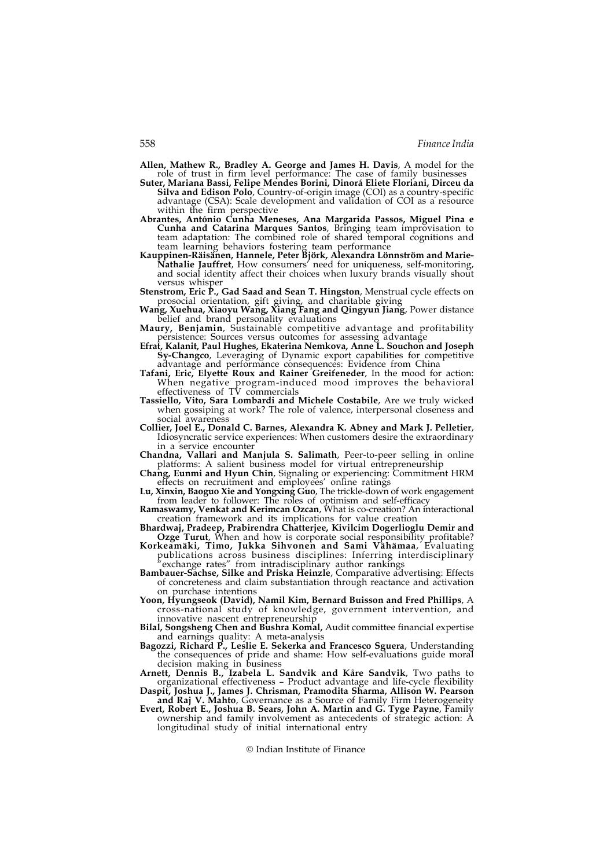- Allen, Mathew R., Bradley A. George and James H. Davis, A model for the role of trust in firm level performance: The case of family businesses
- Suter, Mariana Bassi, Felipe Mendes Borini, Dinorá Eliete Floriani, Dirceu da Silva and Edison Polo, Country-of-origin image (COI) as a country-specific advantage (CSA): Scale development and validation of COI as a resource within the firm perspective
- Abrantes, António Cunha Meneses, Ana Margarida Passos, Miguel Pina e Cunha and Catarina Marques Santos, Bringing team improvisation to team adaptation: The combined role of shared temporal cognitions and team learning behaviors fostering team performance
- Kauppinen-Räisänen, Hannele, Peter Björk, Alexandra Lönnström and Marie-Nathalie Jauffret, How consumers' need for uniqueness, self-monitoring, and social identity affect their choices when luxury brands visually shout versus whisper
- Stenstrom, Eric P., Gad Saad and Sean T. Hingston, Menstrual cycle effects on prosocial orientation, gift giving, and charitable giving Wang, Xuehua, Xiaoyu Wang, Xiang Fang and Qingyun Jiang, Power distance
- belief and brand personality evaluations Maury, Benjamin, Sustainable competitive advantage and profitability
- persistence: Sources versus outcomes for assessing advantage
- Efrat, Kalanit, Paul Hughes, Ekaterina Nemkova, Anne L. Souchon and Joseph Sy-Changco, Leveraging of Dynamic export capabilities for competitive advantage and performance consequences: Evidence from China
- Tafani, Eric, Elyette Roux and Rainer Greifeneder, In the mood for action: When negative program-induced mood improves the behavioral effectiveness of TV commercials
- Tassiello, Vito, Sara Lombardi and Michele Costabile, Are we truly wicked when gossiping at work? The role of valence, interpersonal closeness and social awareness
- Collier, Joel E., Donald C. Barnes, Alexandra K. Abney and Mark J. Pelletier, Idiosyncratic service experiences: When customers desire the extraordinary in a service encounter
- Chandna, Vallari and Manjula S. Salimath, Peer-to-peer selling in online platforms: A salient business model for virtual entrepreneurship
- Chang, Eunmi and Hyun Chin, Signaling or experiencing: Commitment HRM effects on recruitment and employees' online ratings
- Lu, Xinxin, Baoguo Xie and Yongxing Guo, The trickle-down of work engagement from leader to follower: The roles of optimism and self-efficacy
- Ramaswamy, Venkat and Kerimcan Ozcan, What is co-creation? An interactional creation framework and its implications for value creation
- Bhardwaj, Pradeep, Prabirendra Chatterjee, Kivilcim Dogerlioglu Demir and Ozge Turut, When and how is corporate social responsibility profitable?
- Korkeamäki, Timo, Jukka Sihvonen and Sami Vähämaa, Evaluating publications across business disciplines: Inferring interdisciplinary "exchange rates" from intradisciplinary author rankings
- Bambauer-Sachse, Silke and Priska Heinzle, Comparative advertising: Effects of concreteness and claim substantiation through reactance and activation on purchase intentions
- Yoon, Hyungseok (David), Namil Kim, Bernard Buisson and Fred Phillips, A cross-national study of knowledge, government intervention, and innovative nascent entrepreneurship
- Bilal, Songsheng Chen and Bushra Komal, Audit committee financial expertise and earnings quality: A meta-analysis
- Bagozzi, Richard P., Leslie E. Sekerka and Francesco Sguera, Understanding the consequences of pride and shame: How self-evaluations guide moral decision making in business
- Arnett, Dennis B., Izabela L. Sandvik and Kåre Sandvik, Two paths to organizational effectiveness – Product advantage and life-cycle flexibility
- Daspit, Joshua J., James J. Chrisman, Pramodita Sharma, Allison W. Pearson and Raj V. Mahto, Governance as a Source of Family Firm Heterogeneity
- Evert, Robert E., Joshua B. Sears, John A. Martin and G. Tyge Payne, Family ownership and family involvement as antecedents of strategic action: A longitudinal study of initial international entry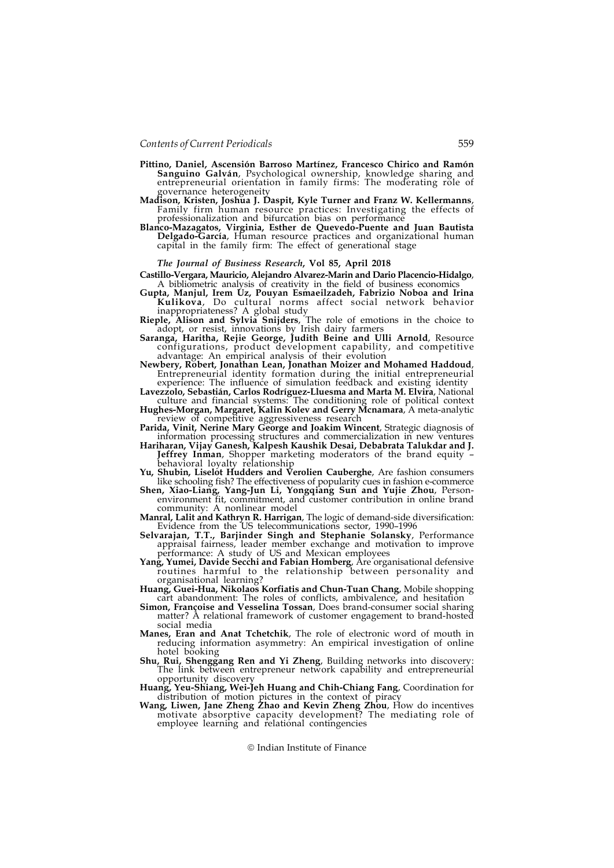- Pittino, Daniel, Ascensión Barroso Martínez, Francesco Chirico and Ramón Sanguino Galván, Psychological ownership, knowledge sharing and entrepreneurial orientation in family firms: The moderating role of
- governance heterogeneity<br>Madison, Kristen, Joshua J. Daspit, Kyle Turner and Franz W. Kellermanns, Family firm human resource practices: Investigating the effects of professionalization and bifurcation bias on performance
- Blanco-Mazagatos, Virginia, Esther de Quevedo-Puente and Juan Bautista Delgado-García, Human resource practices and organizational human capital in the family firm: The effect of generational stage

#### The Journal of Business Research, Vol 85, April 2018

- Castillo-Vergara, Mauricio, Alejandro Alvarez-Marin and Dario Placencio-Hidalgo, A bibliometric analysis of creativity in the field of business economics
- Gupta, Manjul, Irem Uz, Pouyan Esmaeilzadeh, Fabrizio Noboa and Irina Kulikova, Do cultural norms affect social network behavior
- inappropriateness? A global study Rieple, Alison and Sylvia Snijders, The role of emotions in the choice to adopt, or resist, innovations by Irish dairy farmers
- Saranga, Haritha, Rejie George, Judith Beine and Ulli Arnold, Resource configurations, product development capability, and competitive advantage: An empirical analysis of their evolution
- Newbery, Robert, Jonathan Lean, Jonathan Moizer and Mohamed Haddoud, Entrepreneurial identity formation during the initial entrepreneurial experience: The influence of simulation feedback and existing identity
- Lavezzolo, Sebastián, Carlos Rodríguez-Lluesma and Marta M. Elvira, National culture and financial systems: The conditioning role of political context Hughes-Morgan, Margaret, Kalin Kolev and Gerry Mcnamara, A meta-analytic
- review of competitive aggressiveness research Parida, Vinit, Nerine Mary George and Joakim Wincent, Strategic diagnosis of
- information processing structures and commercialization in new ventures Hariharan, Vijay Ganesh, Kalpesh Kaushik Desai, Debabrata Talukdar and J. Jeffrey Inman, Shopper marketing moderators of the brand equity –
- behavioral loyalty relationship Yu, Shubin, Liselot Hudders and Verolien Cauberghe, Are fashion consumers
- like schooling fish? The effectiveness of popularity cues in fashion e-commerce Shen, Xiao-Liang, Yang-Jun Li, Yongqiang Sun and Yujie Zhou, Personenvironment fit, commitment, and customer contribution in online brand
- community: A nonlinear model<br>**Manral, Lalit and Kathryn R. Harrigan**, The logic of demand-side diversification:
- Evidence from the US telecommunications sector, 1990–1996 Selvarajan, T.T., Barjinder Singh and Stephanie Solansky, Performance appraisal fairness, leader member exchange and motivation to improve
- performance: A study of US and Mexican employees Yang, Yumei, Davide Secchi and Fabian Homberg, Are organisational defensive routines harmful to the relationship between personality and organisational learning?
- Huang, Guei-Hua, Nikolaos Korfiatis and Chun-Tuan Chang, Mobile shopping cart abandonment: The roles of conflicts, ambivalence, and hesitation
- Simon, Françoise and Vesselina Tossan, Does brand-consumer social sharing matter? A relational framework of customer engagement to brand-hosted social media
- Manes, Eran and Anat Tchetchik, The role of electronic word of mouth in reducing information asymmetry: An empirical investigation of online hotel booking
- Shu, Rui, Shenggang Ren and Yi Zheng, Building networks into discovery: The link between entrepreneur network capability and entrepreneurial opportunity discovery
- Huang, Yeu-Shiang, Wei-Jeh Huang and Chih-Chiang Fang, Coordination for distribution of motion pictures in the context of piracy Wang, Liwen, Jane Zheng Zhao and Kevin Zheng Zhou, How do incentives
- motivate absorptive capacity development? The mediating role of employee learning and relational contingencies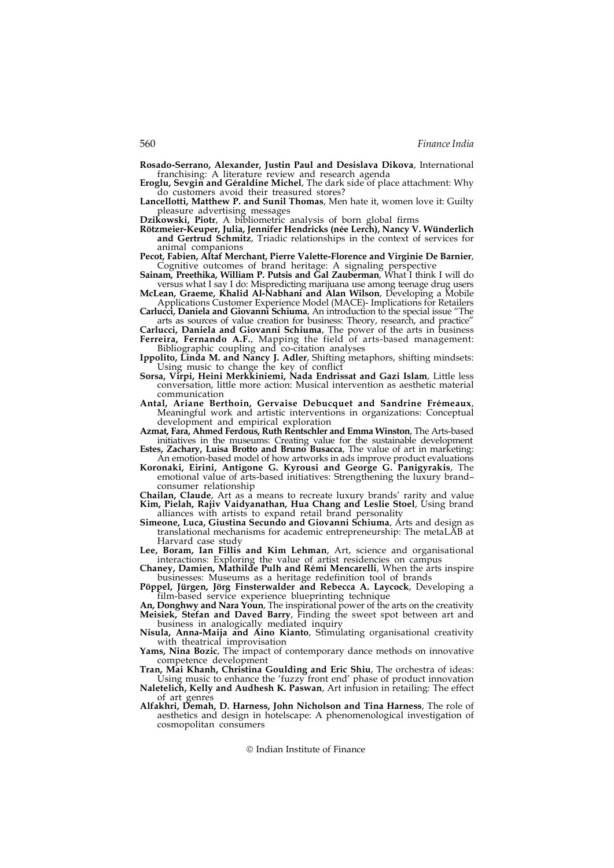Rosado-Serrano, Alexander, Justin Paul and Desislava Dikova, International franchising: A literature review and research agenda

Eroglu, Sevgin and Géraldine Michel, The dark side of place attachment: Why do customers avoid their treasured stores?

Lancellotti, Matthew P. and Sunil Thomas, Men hate it, women love it: Guilty pleasure advertising messages

Dzikowski, Piotr, A bibliometric analysis of born global firms

Rötzmeier-Keuper, Julia, Jennifer Hendricks (née Lerch), Nancy V. Wünderlich and Gertrud Schmitz, Triadic relationships in the context of services for animal companions

Pecot, Fabien, Altaf Merchant, Pierre Valette-Florence and Virginie De Barnier, Cognitive outcomes of brand heritage: A signaling perspective

- Sainam, Preethika, William P. Putsis and Gal Zauberman, What I think I will do versus what I say I do: Mispredicting marijuana use among teenage drug users McLean, Graeme, Khalid Al-Nabhani and Alan Wilson, Developing a Mobile
- Applications Customer Experience Model (MACE)- Implications for Retailers

Carlucci, Daniela and Giovanni Schiuma, An introduction to the special issue arts as sources of value creation for business: Theory, research, and practice"

Carlucci, Daniela and Giovanni Schiuma, The power of the arts in business Ferreira, Fernando A.F., Mapping the field of arts-based management: Bibliographic coupling and co-citation analyses

Ippolito, Linda M. and Nancy J. Adler, Shifting metaphors, shifting mindsets: Using music to change the key of conflict

- Sorsa, Virpi, Heini Merkkiniemi, Nada Endrissat and Gazi Islam, Little less conversation, little more action: Musical intervention as aesthetic material communication
- Antal, Ariane Berthoin, Gervaise Debucquet and Sandrine Frémeaux, Meaningful work and artistic interventions in organizations: Conceptual development and empirical exploration

Azmat, Fara, Ahmed Ferdous, Ruth Rentschler and Emma Winston, The Arts-based initiatives in the museums: Creating value for the sustainable development

- Estes, Zachary, Luisa Brotto and Bruno Busacca, The value of art in marketing: An emotion-based model of how artworks in ads improve product evaluations Koronaki, Eirini, Antigone G. Kyrousi and George G. Panigyrakis, The
- emotional value of arts-based initiatives: Strengthening the luxury brand– consumer relationship

Chailan, Claude, Art as a means to recreate luxury brands' rarity and value Kim, Pielah, Rajiv Vaidyanathan, Hua Chang and Leslie Stoel, Using brand alliances with artists to expand retail brand personality

Simeone, Luca, Giustina Secundo and Giovanni Schiuma, Arts and design as translational mechanisms for academic entrepreneurship: The metaLAB at Harvard case study

Lee, Boram, Ian Fillis and Kim Lehman, Art, science and organisational interactions: Exploring the value of artist residencies on campus

Chaney, Damien, Mathilde Pulh and Rémi Mencarelli, When the arts inspire businesses: Museums as a heritage redefinition tool of brands

Pöppel, Jürgen, Jörg Finsterwalder and Rebecca A. Laycock, Developing a film-based service experience blueprinting technique

An, Donghwy and Nara Youn, The inspirational power of the arts on the creativity<br>Meisiek, Stefan and Daved Barry, Finding the sweet spot between art and Meisiek, Stefan and Daved Barry, Finding the sweet spot between art and business in analogically mediated inquiry

Nisula, Anna-Maija and Aino Kianto, Stimulating organisational creativity with theatrical improvisation

Yams, Nina Bozic, The impact of contemporary dance methods on innovative competence development

Tran, Mai Khanh, Christina Goulding and Eric Shiu, The orchestra of ideas:

Using music to enhance the 'fuzzy front end' phase of product innovation Naletelich, Kelly and Audhesh K. Paswan, Art infusion in retailing: The effect of art genres

Alfakhri, Demah, D. Harness, John Nicholson and Tina Harness, The role of aesthetics and design in hotelscape: A phenomenological investigation of cosmopolitan consumers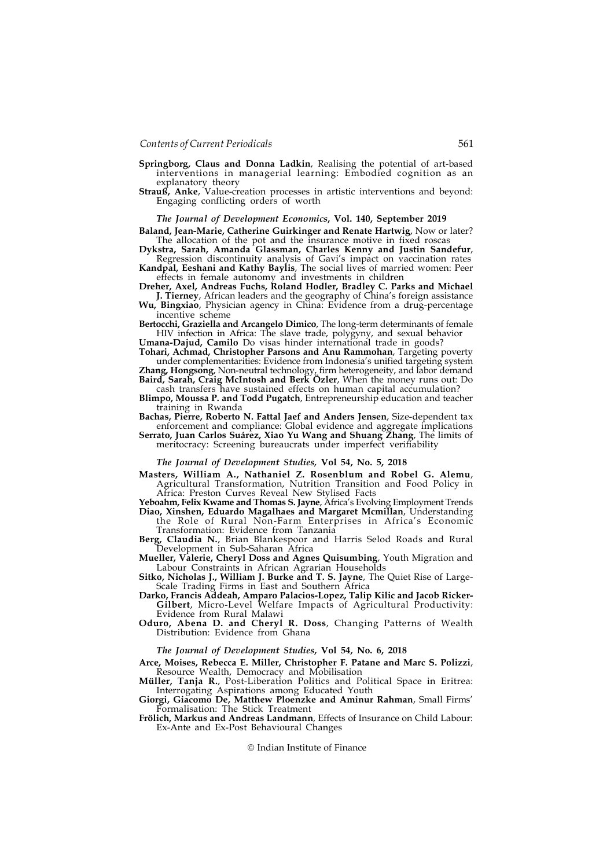- Springborg, Claus and Donna Ladkin, Realising the potential of art-based interventions in managerial learning: Embodied cognition as an explanatory theory
- Strauß, Anke, Value-creation processes in artistic interventions and beyond: Engaging conflicting orders of worth

## The Journal of Development Economics, Vol. 140, September 2019

Baland, Jean-Marie, Catherine Guirkinger and Renate Hartwig, Now or later? The allocation of the pot and the insurance motive in fixed roscas

Dykstra, Sarah, Amanda Glassman, Charles Kenny and Justin Sandefur, Regression discontinuity analysis of Gavi's impact on vaccination rates Kandpal, Eeshani and Kathy Baylis, The social lives of married women: Peer

effects in female autonomy and investments in children Dreher, Axel, Andreas Fuchs, Roland Hodler, Bradley C. Parks and Michael J. Tierney, African leaders and the geography of China's foreign assistance

Wu, Bingxiao, Physician agency in China: Evidence from a drug-percentage incentive scheme

Bertocchi, Graziella and Arcangelo Dimico, The long-term determinants of female HIV infection in Africa: The slave trade, polygyny, and sexual behavior

Umana-Dajud, Camilo Do visas hinder international trade in goods?

Tohari, Achmad, Christopher Parsons and Anu Rammohan, Targeting poverty under complementarities: Evidence from Indonesia's unified targeting system **Zhang, Hongsong,** Non-neutral technology, firm heterogeneity, and labor demand Baird, Sarah, Craig McIntosh and Berk Özler, When the money runs out: Do

- cash transfers have sustained effects on human capital accumulation?
- Blimpo, Moussa P. and Todd Pugatch, Entrepreneurship education and teacher training in Rwanda

Bachas, Pierre, Roberto N. Fattal Jaef and Anders Jensen, Size-dependent tax enforcement and compliance: Global evidence and aggregate implications Serrato, Juan Carlos Suárez, Xiao Yu Wang and Shuang Zhang, The limits of

meritocracy: Screening bureaucrats under imperfect verifiability

#### The Journal of Development Studies, Vol 54, No. 5, 2018

Masters, William A., Nathaniel Z. Rosenblum and Robel G. Alemu, Agricultural Transformation, Nutrition Transition and Food Policy in Africa: Preston Curves Reveal New Stylised Facts

Yeboahm, Felix Kwame and Thomas S. Jayne, Africa's Evolving Employment Trends Diao, Xinshen, Eduardo Magalhaes and Margaret Mcmillan, Understanding

the Role of Rural Non-Farm Enterprises in Africa's Economic Transformation: Evidence from Tanzania

Berg, Claudia N., Brian Blankespoor and Harris Selod Roads and Rural Development in Sub-Saharan Africa

Mueller, Valerie, Cheryl Doss and Agnes Quisumbing, Youth Migration and Labour Constraints in African Agrarian Households

Sitko, Nicholas J., William J. Burke and T. S. Jayne, The Quiet Rise of Large-Scale Trading Firms in East and Southern Africa

Darko, Francis Addeah, Amparo Palacios-Lopez, Talip Kilic and Jacob Ricker-Gilbert, Micro-Level Welfare Impacts of Agricultural Productivity: Evidence from Rural Malawi

Oduro, Abena D. and Cheryl R. Doss, Changing Patterns of Wealth Distribution: Evidence from Ghana

#### The Journal of Development Studies, Vol 54, No. 6, 2018

Arce, Moises, Rebecca E. Miller, Christopher F. Patane and Marc S. Polizzi, Resource Wealth, Democracy and Mobilisation<br> **Müller, Tanja R.**, Post-Liberation Politics and Political Space in Eritrea:

Interrogating Aspirations among Educated Youth

Giorgi, Giacomo De, Matthew Ploenzke and Aminur Rahman, Small Firms' Formalisation: The Stick Treatment

Frölich, Markus and Andreas Landmann, Effects of Insurance on Child Labour: Ex-Ante and Ex-Post Behavioural Changes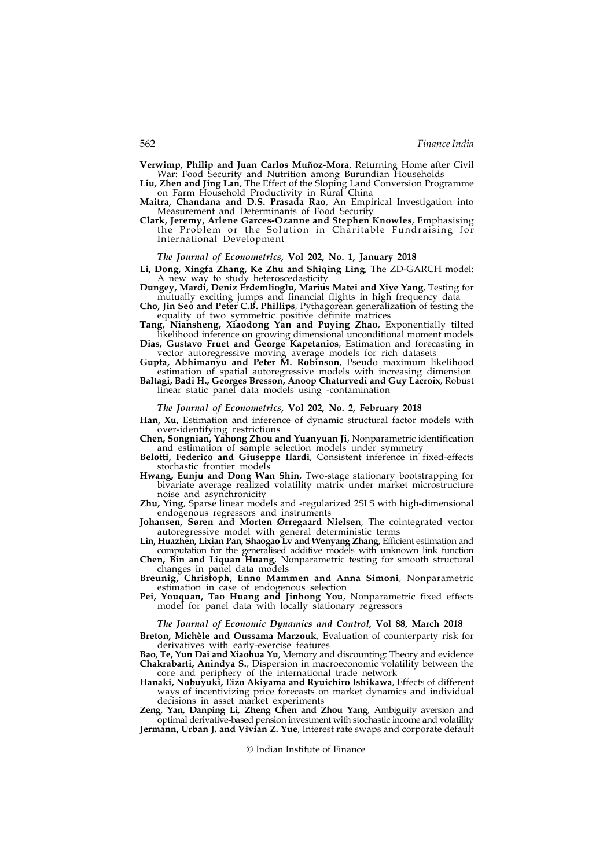Verwimp, Philip and Juan Carlos Muñoz-Mora, Returning Home after Civil War: Food Security and Nutrition among Burundian Households

Liu, Zhen and Jing Lan, The Effect of the Sloping Land Conversion Programme on Farm Household Productivity in Rural China Maitra, Chandana and D.S. Prasada Rao, An Empirical Investigation into

Measurement and Determinants of Food Security

Clark, Jeremy, Arlene Garces-Ozanne and Stephen Knowles, Emphasising the Problem or the Solution in Charitable Fundraising for International Development

#### The Journal of Econometrics, Vol 202, No. 1, January 2018

Li, Dong, Xingfa Zhang, Ke Zhu and Shiqing Ling, The ZD-GARCH model: A new way to study heteroscedasticity

Dungey, Mardi, Deniz Erdemlioglu, Marius Matei and Xiye Yang, Testing for mutually exciting jumps and financial flights in high frequency data

Cho, Jin Seo and Peter C.B. Phillips, Pythagorean generalization of testing the equality of two symmetric positive definite matrices

Tang, Niansheng, Xiaodong Yan and Puying Zhao, Exponentially tilted likelihood inference on growing dimensional unconditional moment models

Dias, Gustavo Fruet and George Kapetanios, Estimation and forecasting in vector autoregressive moving average models for rich datasets

Gupta, Abhimanyu and Peter M. Robinson, Pseudo maximum likelihood estimation of spatial autoregressive models with increasing dimension

Baltagi, Badi H., Georges Bresson, Anoop Chaturvedi and Guy Lacroix, Robust linear static panel data models using -contamination

#### The Journal of Econometrics, Vol 202, No. 2, February 2018

Han, Xu, Estimation and inference of dynamic structural factor models with over-identifying restrictions

Chen, Songnian, Yahong Zhou and Yuanyuan Ji, Nonparametric identification and estimation of sample selection models under symmetry

- Belotti, Federico and Giuseppe Ilardi, Consistent inference in fixed-effects stochastic frontier models
- Hwang, Eunju and Dong Wan Shin, Two-stage stationary bootstrapping for bivariate average realized volatility matrix under market microstructure noise and asynchronicity

Zhu, Ying, Sparse linear models and -regularized 2SLS with high-dimensional endogenous regressors and instruments

Johansen, Søren and Morten Ørregaard Nielsen, The cointegrated vector autoregressive model with general deterministic terms

Lin, Huazhen, Lixian Pan, Shaogao Lv and Wenyang Zhang, Efficient estimation and computation for the generalised additive models with unknown link function

Chen, Bin and Liquan Huang, Nonparametric testing for smooth structural changes in panel data models

Breunig, Christoph, Enno Mammen and Anna Simoni, Nonparametric estimation in case of endogenous selection

Pei, Youquan, Tao Huang and Jinhong You, Nonparametric fixed effects model for panel data with locally stationary regressors

The Journal of Economic Dynamics and Control, Vol 88, March 2018

Breton, Michèle and Oussama Marzouk, Evaluation of counterparty risk for derivatives with early-exercise features

Bao, Te, Yun Dai and Xiaohua Yu, Memory and discounting: Theory and evidence Chakrabarti, Anindya S., Dispersion in macroeconomic volatility between the core and periphery of the international trade network

Hanaki, Nobuyuki, Eizo Akiyama and Ryuichiro Ishikawa, Effects of different ways of incentivizing price forecasts on market dynamics and individual decisions in asset market experiments

Zeng, Yan, Danping Li, Zheng Chen and Zhou Yang, Ambiguity aversion and optimal derivative-based pension investment with stochastic income and volatility Jermann, Urban J. and Vivian Z. Yue, Interest rate swaps and corporate default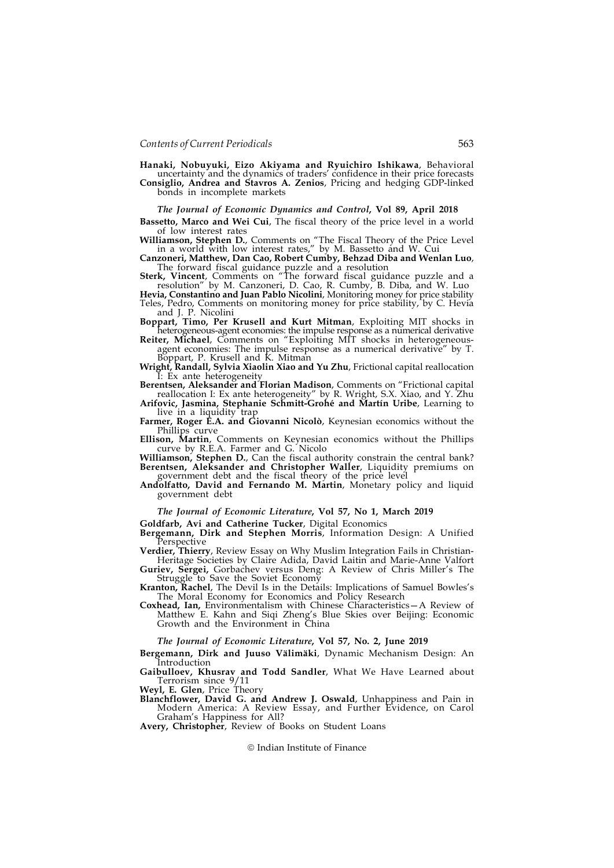Hanaki, Nobuyuki, Eizo Akiyama and Ryuichiro Ishikawa, Behavioral uncertainty and the dynamics of traders' confidence in their price forecasts Consiglio, Andrea and Stavros A. Zenios, Pricing and hedging GDP-linked bonds in incomplete markets

The Journal of Economic Dynamics and Control, Vol 89, April 2018

Bassetto, Marco and Wei Cui, The fiscal theory of the price level in a world of low interest rates

Williamson, Stephen D., Comments on "The Fiscal Theory of the Price Level in a world with low interest rates," by M. Bassetto and W. Cui

Canzoneri, Matthew, Dan Cao, Robert Cumby, Behzad Diba and Wenlan Luo, The forward fiscal guidance puzzle and a resolution

Sterk, Vincent, Comments on "The forward fiscal guidance puzzle and a resolution" by M. Canzoneri, D. Cao, R. Cumby, B. Diba, and W. Luo

Hevia, Constantino and Juan Pablo Nicolini, Monitoring money for price stability Teles, Pedro, Comments on monitoring money for price stability, by C. Hevia and J. P. Nicolini

Boppart, Timo, Per Krusell and Kurt Mitman, Exploiting MIT shocks in heterogeneous-agent economies: the impulse response as a numerical derivative

Reiter, Michael, Comments on "Exploiting MIT shocks in heterogeneousagent economies: The impulse response as a numerical derivative" by T.<br>Boppart, P. Krusell and K. Mitman

Wright, Randall, Sylvia Xiaolin Xiao and Yu Zhu, Frictional capital reallocation I: Ex ante heterogeneity

Berentsen, Aleksander and Florian Madison, Comments on "Frictional capital reallocation I: Ex ante heterogeneity" by R. Wright, S.X. Xiao, and Y. Zhu

Arifovic, Jasmina, Stephanie Schmitt-Grohé and Martín Uribe, Learning to live in a liquidity trap

Farmer, Roger E.A. and Giovanni Nicolò, Keynesian economics without the Phillips curve

Ellison, Martin, Comments on Keynesian economics without the Phillips

Williamson, Stephen D., Can the fiscal authority constrain the central bank? Berentsen, Aleksander and Christopher Waller, Liquidity premiums on government debt and the fiscal theory of the price level

#### Andolfatto, David and Fernando M. Martin, Monetary policy and liquid government debt

#### The Journal of Economic Literature, Vol 57, No 1, March 2019

Goldfarb, Avi and Catherine Tucker, Digital Economics

Bergemann, Dirk and Stephen Morris, Information Design: A Unified Perspective

Verdier, Thierry, Review Essay on Why Muslim Integration Fails in Christian-Heritage Societies by Claire Adida, David Laitin and Marie-Anne Valfort

Guriev, Sergei, Gorbachev versus Deng: A Review of Chris Miller's The Struggle to Save the Soviet Economy

Kranton, Rachel, The Devil Is in the Details: Implications of Samuel Bowles's The Moral Economy for Economics and Policy Research

Coxhead, Ian, Environmentalism with Chinese Characteristics—A Review of Matthew E. Kahn and Siqi Zheng's Blue Skies over Beijing: Economic Growth and the Environment in China

#### The Journal of Economic Literature, Vol 57, No. 2, June 2019

Bergemann, Dirk and Juuso Välimäki, Dynamic Mechanism Design: An Introduction

Gaibulloev, Khusrav and Todd Sandler, What We Have Learned about Terrorism since 9/11

Weyl, E. Glen, Price Theory

Blanchflower, David G. and Andrew J. Oswald, Unhappiness and Pain in Modern America: A Review Essay, and Further Evidence, on Carol Graham's Happiness for All?

Avery, Christopher, Review of Books on Student Loans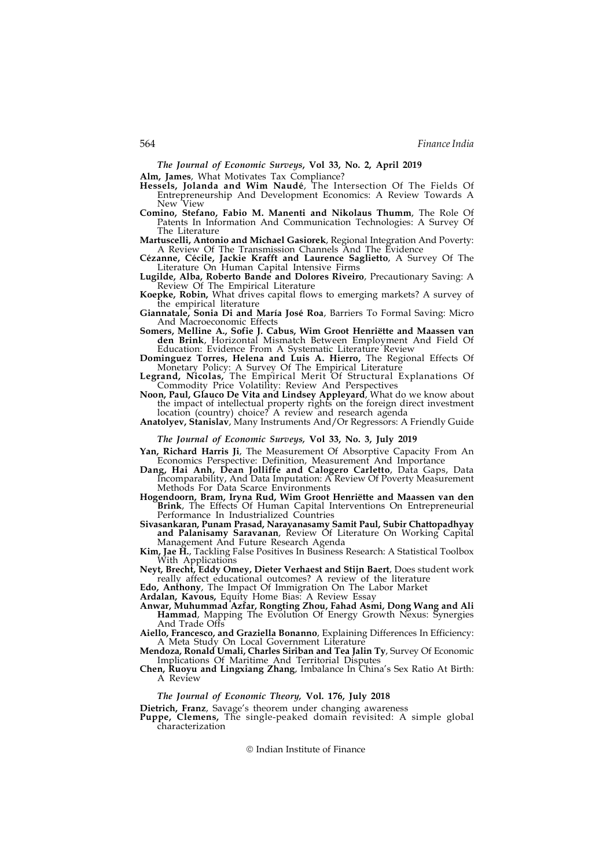The Journal of Economic Surveys, Vol 33, No. 2, April 2019

Alm, James, What Motivates Tax Compliance?

- Hessels, Jolanda and Wim Naudé, The Intersection Of The Fields Of Entrepreneurship And Development Economics: A Review Towards A New View
- Comino, Stefano, Fabio M. Manenti and Nikolaus Thumm, The Role Of Patents In Information And Communication Technologies: A Survey Of The Literature
- Martuscelli, Antonio and Michael Gasiorek, Regional Integration And Poverty: A Review Of The Transmission Channels And The Evidence
- Cézanne, Cécile, Jackie Krafft and Laurence Saglietto, A Survey Of The Literature On Human Capital Intensive Firms
- Lugilde, Alba, Roberto Bande and Dolores Riveiro, Precautionary Saving: A Review Of The Empirical Literature
- Koepke, Robin, What drives capital flows to emerging markets? A survey of the empirical literature
- Giannatale, Sonia Di and María José Roa, Barriers To Formal Saving: Micro And Macroeconomic Effects
- Somers, Melline A., Sofie J. Cabus, Wim Groot Henriëtte and Maassen van den Brink, Horizontal Mismatch Between Employment And Field Of Education: Evidence From A Systematic Literature Review
- Dominguez Torres, Helena and Luis A. Hierro, The Regional Effects Of Monetary Policy: A Survey Of The Empirical Literature
- Legrand, Nicolas, The Empirical Merit Of Structural Explanations Of Commodity Price Volatility: Review And Perspectives
- Noon, Paul, Glauco De Vita and Lindsey Appleyard, What do we know about the impact of intellectual property rights on the foreign direct investment location (country) choice? A review and research agenda
- Anatolyev, Stanislav, Many Instruments And/Or Regressors: A Friendly Guide

## The Journal of Economic Surveys, Vol 33, No. 3, July 2019

- Yan, Richard Harris Ji, The Measurement Of Absorptive Capacity From An Economics Perspective: Definition, Measurement And Importance
- Dang, Hai Anh, Dean Jolliffe and Calogero Carletto, Data Gaps, Data Incomparability, And Data Imputation: A Review Of Poverty Measurement Methods For Data Scarce Environments
- Hogendoorn, Bram, Iryna Rud, Wim Groot Henriëtte and Maassen van den Brink, The Effects Of Human Capital Interventions On Entrepreneurial Performance In Industrialized Countries
- Sivasankaran, Punam Prasad, Narayanasamy Samit Paul, Subir Chattopadhyay and Palanisamy Saravanan, Review Of Literature On Working Capital Management And Future Research Agenda
- Kim, Jae H., Tackling False Positives In Business Research: A Statistical Toolbox With Applications
- Neyt, Brecht, Eddy Omey, Dieter Verhaest and Stijn Baert, Does student work really affect educational outcomes? A review of the literature
- Edo, Anthony, The Impact Of Immigration On The Labor Market
- Ardalan, Kavous, Equity Home Bias: A Review Essay
- Anwar, Muhummad Azfar, Rongting Zhou, Fahad Asmi, Dong Wang and Ali Hammad, Mapping The Evolution Of Energy Growth Nexus: Synergies And Trade Offs
- Aiello, Francesco, and Graziella Bonanno, Explaining Differences In Efficiency: A Meta Study On Local Government Literature<br>Mendoza, Ronald Umali, Charles Siriban and Tea Jalin Ty, Survey Of Economic
- Implications Of Maritime And Territorial Disputes
- Chen, Ruoyu and Lingxiang Zhang, Imbalance In China's Sex Ratio At Birth: A Review

#### The Journal of Economic Theory, Vol. 176, July 2018

Dietrich, Franz, Savage's theorem under changing awareness

Puppe, Clemens, The single-peaked domain revisited: A simple global characterization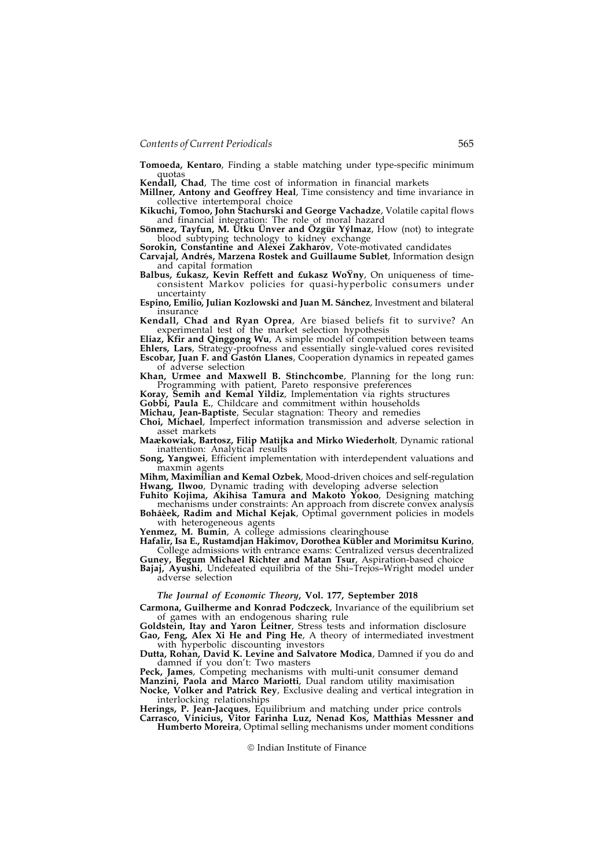Tomoeda, Kentaro, Finding a stable matching under type-specific minimum quotas

Kendall, Chad, The time cost of information in financial markets

Millner, Antony and Geoffrey Heal, Time consistency and time invariance in collective intertemporal choice

Kikuchi, Tomoo, John Stachurski and George Vachadze, Volatile capital flows and financial integration: The role of moral hazard

Sönmez, Tayfun, M. Utku Unver and Özgür Yýlmaz, How (not) to integrate blood subtyping technology to kidney exchange

Sorokin, Constantine and Alexei Zakharov, Vote-motivated candidates

Carvajal, Andrés, Marzena Rostek and Guillaume Sublet, Information design and capital formation

Balbus, £ukasz, Kevin Reffett and £ukasz WoYny, On uniqueness of timeconsistent Markov policies for quasi-hyperbolic consumers under uncertainty

Espino, Emilio, Julian Kozlowski and Juan M. Sánchez, Investment and bilateral insurance

Kendall, Chad and Ryan Oprea, Are biased beliefs fit to survive? An experimental test of the market selection hypothesis

Eliaz, Kfir and Qinggong Wu, A simple model of competition between teams Ehlers, Lars, Strategy-proofness and essentially single-valued cores revisited Escobar, Juan F. and Gastón Llanes, Cooperation dynamics in repeated games of adverse selection

Khan, Urmee and Maxwell B. Stinchcombe, Planning for the long run: Programming with patient, Pareto responsive preferences

Koray, Semih and Kemal Yildiz, Implementation via rights structures

Gobbi, Paula E., Childcare and commitment within households

Michau, Jean-Baptiste, Secular stagnation: Theory and remedies

Choi, Michael, Imperfect information transmission and adverse selection in asset markets

Maækowiak, Bartosz, Filip Matìjka and Mirko Wiederholt, Dynamic rational inattention: Analytical results

Song, Yangwei, Efficient implementation with interdependent valuations and maxmin agents

Mihm, Maximilian and Kemal Ozbek, Mood-driven choices and self-regulation Hwang, Ilwoo, Dynamic trading with developing adverse selection

Fuhito Kojima, Akihisa Tamura and Makoto Yokoo, Designing matching mechanisms under constraints: An approach from discrete convex analysis Boháèek, Radim and Michal Kejak, Optimal government policies in models

with heterogeneous agents

Yenmez, M. Bumin, A college admissions clearinghouse

Hafalir, Isa E., Rustamdjan Hakimov, Dorothea Kübler and Morimitsu Kurino, College admissions with entrance exams: Centralized versus decentralized

Guney, Begum Michael Richter and Matan Tsur, Aspiration-based choice Bajaj, Ayushi, Undefeated equilibria of the Shi-Trejos-Wright model under adverse selection

The Journal of Economic Theory, Vol. 177, September 2018

Carmona, Guilherme and Konrad Podczeck, Invariance of the equilibrium set of games with an endogenous sharing rule

Goldstein, Itay and Yaron Leitner, Stress tests and information disclosure

Gao, Feng, Alex Xi He and Ping He, A theory of intermediated investment with hyperbolic discounting investors

Dutta, Rohan, David K. Levine and Salvatore Modica, Damned if you do and damned if you don't: Two masters

Peck, James, Competing mechanisms with multi-unit consumer demand Manzini, Paola and Marco Mariotti, Dual random utility maximisation Nocke, Volker and Patrick Rey, Exclusive dealing and vertical integration in

interlocking relationships Herings, P. Jean-Jacques, Equilibrium and matching under price controls Carrasco, Vinicius, Vitor Farinha Luz, Nenad Kos, Matthias Messner and

Humberto Moreira, Optimal selling mechanisms under moment conditions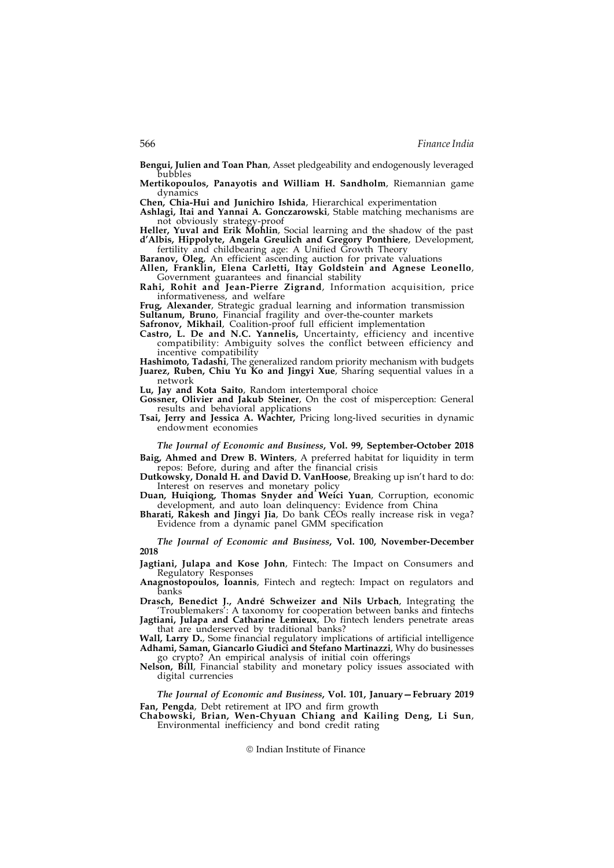Bengui, Julien and Toan Phan, Asset pledgeability and endogenously leveraged bubbles

Mertikopoulos, Panayotis and William H. Sandholm, Riemannian game dynamics

Chen, Chia-Hui and Junichiro Ishida, Hierarchical experimentation

Ashlagi, Itai and Yannai A. Gonczarowski, Stable matching mechanisms are not obviously strategy-proof

Heller, Yuval and Erik Mohlin, Social learning and the shadow of the past d'Albis, Hippolyte, Angela Greulich and Gregory Ponthiere, Development, fertility and childbearing age: A Unified Growth Theory

Baranov, Oleg, An efficient ascending auction for private valuations

Allen, Franklin, Elena Carletti, Itay Goldstein and Agnese Leonello, Government guarantees and financial stability

Rahi, Rohit and Jean-Pierre Zigrand, Information acquisition, price informativeness, and welfare

Frug, Alexander, Strategic gradual learning and information transmission Sultanum, Bruno, Financial fragility and over-the-counter markets

Safronov, Mikhail, Coalition-proof full efficient implementation

Castro, L. De and N.C. Yannelis, Uncertainty, efficiency and incentive compatibility: Ambiguity solves the conflict between efficiency and incentive compatibility

Hashimoto, Tadashi, The generalized random priority mechanism with budgets Juarez, Ruben, Chiu Yu Ko and Jingyi Xue, Sharing sequential values in a network

Lu, Jay and Kota Saito, Random intertemporal choice

Gossner, Olivier and Jakub Steiner, On the cost of misperception: General results and behavioral applications

Tsai, Jerry and Jessica A. Wachter, Pricing long-lived securities in dynamic endowment economies

The Journal of Economic and Business, Vol. 99, September-October 2018

Baig, Ahmed and Drew B. Winters, A preferred habitat for liquidity in term repos: Before, during and after the financial crisis

Dutkowsky, Donald H. and David D. VanHoose, Breaking up isn't hard to do: Interest on reserves and monetary policy

Duan, Huiqiong, Thomas Snyder and Weici Yuan, Corruption, economic development, and auto loan delinquency: Evidence from China

Bharati, Rakesh and Jingyi Jia, Do bank CÉOs really increase risk in vega? Evidence from a dynamic panel GMM specification

The Journal of Economic and Business, Vol. 100, November-December 2018

Jagtiani, Julapa and Kose John, Fintech: The Impact on Consumers and Regulatory Responses

Anagnostopoulos, Ioannis, Fintech and regtech: Impact on regulators and banks

Drasch, Benedict J., André Schweizer and Nils Urbach, Integrating the 'Troublemakers': A taxonomy for cooperation between banks and fintechs

Jagtiani, Julapa and Catharine Lemieux, Do fintech lenders penetrate areas that are underserved by traditional banks?

Wall, Larry D., Some financial regulatory implications of artificial intelligence Adhami, Saman, Giancarlo Giudici and Stefano Martinazzi, Why do businesses go crypto? An empirical analysis of initial coin offerings

Nelson, Bill, Financial stability and monetary policy issues associated with digital currencies

The Journal of Economic and Business, Vol. 101, January—February 2019 Fan, Pengda, Debt retirement at IPO and firm growth

Chabowski, Brian, Wen-Chyuan Chiang and Kailing Deng, Li Sun, Environmental inefficiency and bond credit rating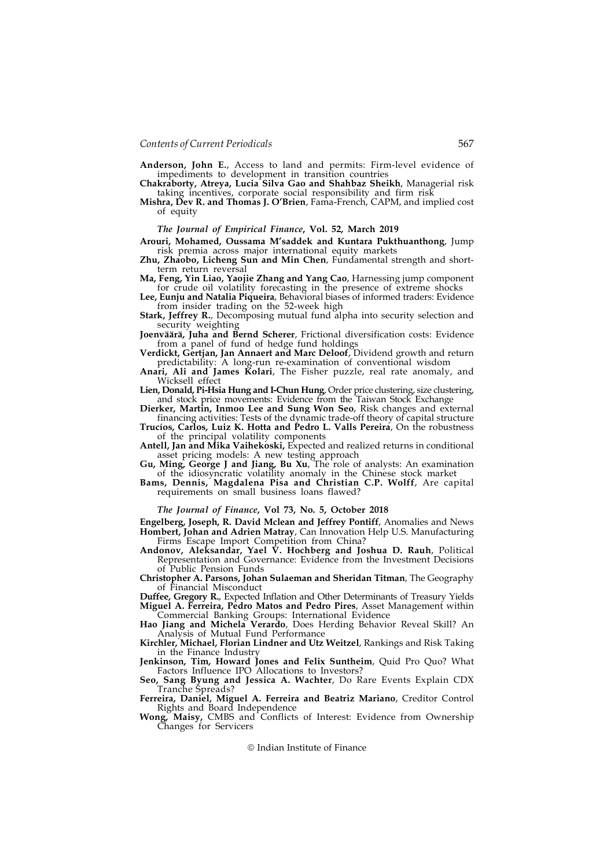Anderson, John E., Access to land and permits: Firm-level evidence of impediments to development in transition countries

Chakraborty, Atreya, Lucia Silva Gao and Shahbaz Sheikh, Managerial risk taking incentives, corporate social responsibility and firm risk Mishra, Dev R. and Thomas J. O'Brien, Fama-French, CAPM, and implied cost

of equity

# The Journal of Empirical Finance, Vol. 52, March 2019

Arouri, Mohamed, Oussama M'saddek and Kuntara Pukthuanthong, Jump risk premia across major international equity markets

Zhu, Zhaobo, Licheng Sun and Min Chen, Fundamental strength and shortterm return reversal

Ma, Feng, Yin Liao, Yaojie Zhang and Yang Cao, Harnessing jump component for crude oil volatility forecasting in the presence of extreme shocks

Lee, Eunju and Natalia Piqueira, Behavioral biases of informed traders: Evidence from insider trading on the 52-week high

Stark, Jeffrey R., Decomposing mutual fund alpha into security selection and security weighting

Joenväärä, Juha and Bernd Scherer, Frictional diversification costs: Evidence from a panel of fund of hedge fund holdings

Verdickt, Gertjan, Jan Annaert and Marc Deloof, Dividend growth and return predictability: A long-run re-examination of conventional wisdom

Anari, Ali and James Kolari, The Fisher puzzle, real rate anomaly, and Wicksell effect

Lien, Donald, Pi-Hsia Hung and I-Chun Hung, Order price clustering, size clustering, and stock price movements: Evidence from the Taiwan Stock Exchange

Dierker, Martin, Inmoo Lee and Sung Won Seo, Risk changes and external financing activities: Tests of the dynamic trade-off theory of capital structure Trucíos, Carlos, Luiz K. Hotta and Pedro L. Valls Pereira, On the robustness

of the principal volatility components

Antell, Jan and Mika Vaihekoski, Expected and realized returns in conditional asset pricing models: A new testing approach

Gu, Ming, George J and Jiang, Bu Xu, The role of analysts: An examination of the idiosyncratic volatility anomaly in the Chinese stock market

Bams, Dennis, Magdalena Pisa and Christian C.P. Wolff, Are capital requirements on small business loans flawed?

The Journal of Finance, Vol 73, No. 5, October 2018

Engelberg, Joseph, R. David Mclean and Jeffrey Pontiff, Anomalies and News Hombert, Johan and Adrien Matray, Can Innovation Help U.S. Manufacturing Firms Escape Import Competition from China?

Andonov, Aleksandar, Yael V. Hochberg and Joshua D. Rauh, Political Representation and Governance: Evidence from the Investment Decisions of Public Pension Funds

Christopher A. Parsons, Johan Sulaeman and Sheridan Titman, The Geography of Financial Misconduct

Duffee, Gregory R., Expected Inflation and Other Determinants of Treasury Yields Miguel A. Ferreira, Pedro Matos and Pedro Pires, Asset Management within Commercial Banking Groups: International Evidence

Hao Jiang and Michela Verardo, Does Herding Behavior Reveal Skill? An Analysis of Mutual Fund Performance

Kirchler, Michael, Florian Lindner and Utz Weitzel, Rankings and Risk Taking in the Finance Industry

Jenkinson, Tim, Howard Jones and Felix Suntheim, Quid Pro Quo? What Factors Influence IPO Allocations to Investors?

Seo, Sang Byung and Jessica A. Wachter, Do Rare Events Explain CDX Tranche Spreads?

Ferreira, Daniel, Miguel A. Ferreira and Beatriz Mariano, Creditor Control Rights and Board Independence

Wong, Maisy, CMBS and Conflicts of Interest: Evidence from Ownership Changes for Servicers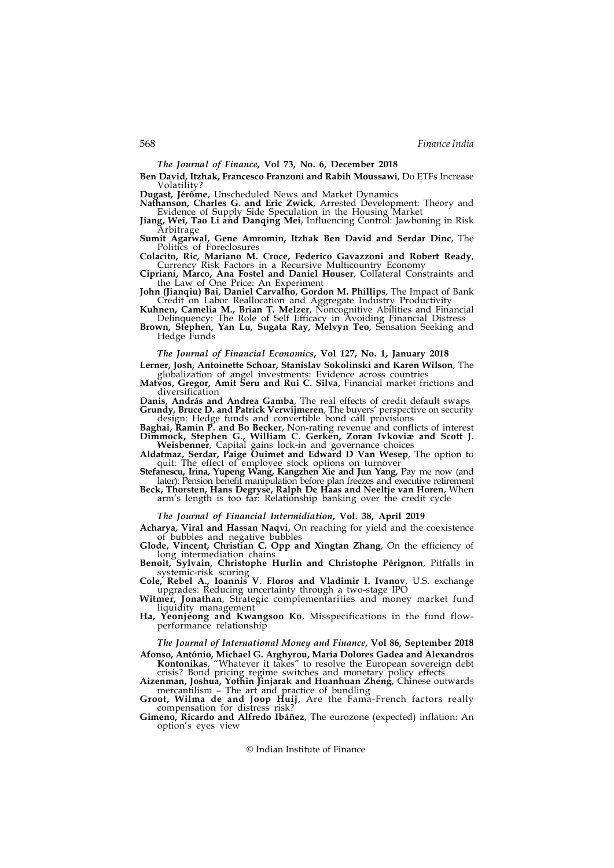The Journal of Finance, Vol 73, No. 6, December 2018

Ben David, Itzhak, Francesco Franzoni and Rabih Moussawi, Do ETFs Increase Volatility?

Dugast, Jérôme, Unscheduled News and Market Dynamics

Nathanson, Charles G. and Eric Zwick, Arrested Development: Theory and Evidence of Supply Side Speculation in the Housing Market

**Jiang, Wei, Tao Li and Danqing Mei**, Influencing Control: Jawboning in Risk Arbitrage

Sumit Agarwal, Gene Amromin, Itzhak Ben David and Serdar Dinc, The Politics of Foreclosures

Colacito, Ric, Mariano M. Croce, Federico Gavazzoni and Robert Ready, Currency Risk Factors in a Recursive Multicountry Economy

Cipriani, Marco, Ana Fostel and Daniel Houser, Collateral Constraints and the Law of One Price: An Experiment

John (Jianqiu) Bai, Daniel Carvalho, Gordon M. Phillips, The Impact of Bank Credit on Labor Reallocation and Aggregate Industry Productivity

Kuhnen, Camelia M., Brian T. Melzer, Noncognitive Abilities and Financial Delinquency: The Role of Self Efficacy in Avoiding Financial Distress Brown, Stephen, Yan Lu, Sugata Ray, Melvyn Teo, Sensation Seeking and

Hedge Funds

## The Journal of Financial Economics, Vol 127, No. 1, January 2018

Lerner, Josh, Antoinette Schoar, Stanislav Sokolinski and Karen Wilson, The

globalization of angel investments: Evidence across countries Matvos, Gregor, Amit Seru and Rui C. Silva, Financial market frictions and diversification

Danis, András and Andrea Gamba, The real effects of credit default swaps Grundy, Bruce D. and Patrick Verwijmeren, The buyers' perspective on security design: Hedge funds and convertible bond call provisions

Baghai, Ramin P. and Bo Becker, Non-rating revenue and conflicts of interest Dimmock, Stephen G., William C. Gerken, Zoran Ivkoviæ and Scott J. Weisbenner, Capital gains lock-in and governance choices

Aldatmaz, Serdar, Paige Ouimet and Edward D Van Wesep, The option to quit: The effect of employee stock options on turnover

Stefanescu, Irina, Yupeng Wang, Kangzhen Xie and Jun Yang, Pay me now (and later): Pension benefit manipulation before plan freezes and executive retirement

Beck, Thorsten, Hans Degryse, Ralph De Haas and Neeltje van Horen, When arm's length is too far: Relationship banking over the credit cycle

The Journal of Financial Intermidiation, Vol. 38, April 2019

Acharya, Viral and Hassan Naqvi, On reaching for yield and the coexistence of bubbles and negative bubbles

Glode, Vincent, Christian C. Opp and Xingtan Zhang, On the efficiency of long intermediation chains

Benoit, Sylvain, Christophe Hurlin and Christophe Pérignon, Pitfalls in systemic-risk scoring

Cole, Rebel A., Ioannis V. Floros and Vladimir I. Ivanov, U.S. exchange upgrades: Reducing uncertainty through a two-stage IPO Witmer, Jonathan, Strategic complementarities and money market fund

liquidity management

Ha, Yeonjeong and Kwangsoo Ko, Misspecifications in the fund flowperformance relationship

The Journal of International Money and Finance, Vol 86, September 2018

Afonso, António, Michael G. Arghyrou, María Dolores Gadea and Alexandros Kontonikas, "Whatever it takes" to resolve the European sovereign debt crisis? Bond pricing regime switches and monetary policy effects

Aizenman, Joshua, Yothin Jinjarak and Huanhuan Zheng, Chinese outwards mercantilism – The art and practice of bundling

Groot, Wilma de and Joop Huij, Are the Fama-French factors really compensation for distress risk?

Gimeno, Ricardo and Alfredo Ibáñez, The eurozone (expected) inflation: An option's eyes view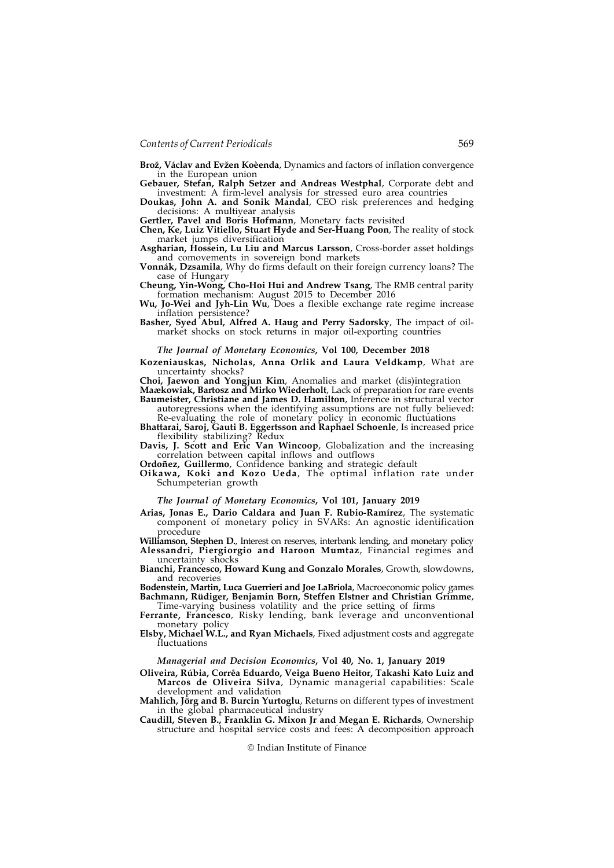Brož, Václav and Evžen Koèenda, Dynamics and factors of inflation convergence in the European union

Gebauer, Stefan, Ralph Setzer and Andreas Westphal, Corporate debt and investment: A firm-level analysis for stressed euro area countries

Doukas, John A. and Sonik Mandal, CEO risk preferences and hedging decisions: A multiyear analysis

Gertler, Pavel and Boris Hofmann, Monetary facts revisited

Chen, Ke, Luiz Vitiello, Stuart Hyde and Ser-Huang Poon, The reality of stock market jumps diversification

Asgharian, Hossein, Lu Liu and Marcus Larsson, Cross-border asset holdings and comovements in sovereign bond markets

Vonnák, Dzsamila, Why do firms default on their foreign currency loans? The case of Hungary

Cheung, Yin-Wong, Cho-Hoi Hui and Andrew Tsang, The RMB central parity formation mechanism: August 2015 to December 2016 Wu, Jo-Wei and Jyh-Lin Wu, Does a flexible exchange rate regime increase

inflation persistence?

Basher, Syed Abul, Alfred A. Haug and Perry Sadorsky, The impact of oilmarket shocks on stock returns in major oil-exporting countries

#### The Journal of Monetary Economics, Vol 100, December 2018

Kozeniauskas, Nicholas, Anna Orlik and Laura Veldkamp, What are

uncertainty shocks?<br> **Choi, Jaewon and Yongjun Kim**, Anomalies and market (dis)integration

Maækowiak, Bartosz and Mirko Wiederholt, Lack of preparation for rare events Baumeister, Christiane and James D. Hamilton, Inference in structural vector

autoregressions when the identifying assumptions are not fully believed: Re-evaluating the role of monetary policy in economic fluctuations

Bhattarai, Saroj, Gauti B. Eggertsson and Raphael Schoenle, Is increased price flexibility stabilizing? Redux

Davis, J. Scott and Eric Van Wincoop, Globalization and the increasing correlation between capital inflows and outflows

Ordoñez, Guillermo, Confidence banking and strategic default

Oikawa, Koki and Kozo Ueda, The optimal inflation rate under Schumpeterian growth

# The Journal of Monetary Economics, Vol 101, January 2019

Arias, Jonas E., Dario Caldara and Juan F. Rubio-Ramírez, The systematic component of monetary policy in SVARs: An agnostic identification

procedure<br>
Williamson, Stephen D., Interest on reserves, interbank lending, and monetary policy Alessandri, Piergiorgio and Haroon Mumtaz, Financial regimes and uncertainty shocks

Bianchi, Francesco, Howard Kung and Gonzalo Morales, Growth, slowdowns, and recoveries

Bodenstein, Martin, Luca Guerrieri and Joe LaBriola, Macroeconomic policy games Bachmann, Rüdiger, Benjamin Born, Steffen Elstner and Christian Grimme, Time-varying business volatility and the price setting of firms

Ferrante, Francesco, Risky lending, bank leverage and unconventional monetary policy

Elsby, Michael W.L., and Ryan Michaels, Fixed adjustment costs and aggregate fluctuations

#### Managerial and Decision Economics, Vol 40, No. 1, January 2019

Oliveira, Rúbia, Corrêa Eduardo, Veiga Bueno Heitor, Takashi Kato Luiz and Marcos de Oliveira Silva, Dynamic managerial capabilities: Scale

Mahlich, Jörg and B. Burcin Yurtoglu, Returns on different types of investment in the global pharmaceutical industry

Caudill, Steven B., Franklin G. Mixon Jr and Megan E. Richards, Ownership structure and hospital service costs and fees: A decomposition approach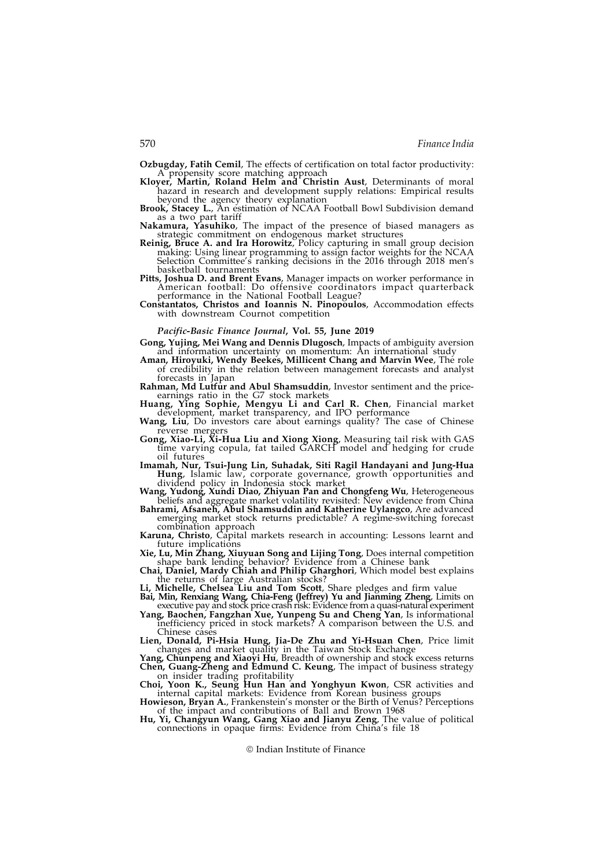Ozbugday, Fatih Cemil, The effects of certification on total factor productivity: A propensity score matching approach

Kloyer, Martin, Roland Helm and Christin Aust, Determinants of moral hazard in research and development supply relations: Empirical results beyond the agency theory explanation

Brook, Stacey L., An estimation of NCAA Football Bowl Subdivision demand as a two part tariff

Nakamura, Yasuhiko, The impact of the presence of biased managers as strategic commitment on endogenous market structures

- Reinig, Bruce A. and Ira Horowitz, Policy capturing in small group decision making: Using linear programming to assign factor weights for the NCAA Selection Committee's ranking decisions in the 2016 through 2018 men's basketball tournaments
- Pitts, Joshua D. and Brent Evans, Manager impacts on worker performance in American football: Do offensive coordinators impact quarterback performance in the National Football League?
- Constantatos, Christos and Ioannis N. Pinopoulos, Accommodation effects with downstream Cournot competition

## Pacific-Basic Finance Journal, Vol. 55, June 2019

- Gong, Yujing, Mei Wang and Dennis Dlugosch, Impacts of ambiguity aversion and information uncertainty on momentum: An international study
- Aman, Hiroyuki, Wendy Beekes, Millicent Chang and Marvin Wee, The role of credibility in the relation between management forecasts and analyst forecasts in Japan

Rahman, Md Lutfur and Abul Shamsuddin, Investor sentiment and the priceearnings ratio in the G7 stock markets

- Huang, Ying Sophie, Mengyu Li and Carl R. Chen, Financial market development, market transparency, and IPO performance<br>**Wang, Liu**, Do investors care about earnings quality? The case of Chinese
- reverse mergers
- Gong, Xiao-Li, Xi-Hua Liu and Xiong Xiong, Measuring tail risk with GAS time varying copula, fat tailed GARCH model and hedging for crude oil futures
- Imamah, Nur, Tsui-Jung Lin, Suhadak, Siti Ragil Handayani and Jung-Hua Hung, Islamic law, corporate governance, growth opportunities and
- dividend policy in Indonesia stock market Wang, Yudong, Xundi Diao, Zhiyuan Pan and Chongfeng Wu, Heterogeneous beliefs and aggregate market volatility revisited: New evidence from China

Bahrami, Afsaneh, Abul Shamsuddin and Katherine Uylangco, Are advanced emerging market stock returns predictable? A regime-switching forecast combination approach

- Karuna, Christo, Capital markets research in accounting: Lessons learnt and future implications
- Xie, Lu, Min Zhang, Xiuyuan Song and Lijing Tong, Does internal competition shape bank lending behavior? Evidence from a Chinese bank
- Chai, Daniel, Mardy Chiah and Philip Gharghori, Which model best explains the returns of large Australian stocks?

Li, Michelle, Chelsea Liu and Tom Scott, Share pledges and firm value

- Bai, Min, Renxiang Wang, Chia-Feng (Jeffrey) Yu and Jianming Zheng, Limits on executive pay and stock price crash risk: Evidence from a quasi-natural experiment Yang, Baochen, Fangzhan Xue, Yunpeng Su and Cheng Yan, Is informational
- inefficiency priced in stock markets? A comparison between the U.S. and Chinese case

Lien, Donald, Pi-Hsia Hung, Jia-De Zhu and Yi-Hsuan Chen, Price limit changes and market quality in the Taiwan Stock Exchange

Yang, Chunpeng and Xiaoyi Hu, Breadth of ownership and stock excess returns Chen, Guang-Zheng and Edmund C. Keung, The impact of business strategy on insider trading profitability

Choi, Yoon K., Seung Hun Han and Yonghyun Kwon, CSR activities and internal capital markets: Evidence from Korean business groups

Howieson, Bryan A., Frankenstein's monster or the Birth of Venus? Perceptions of the impact and contributions of Ball and Brown 1968

Hu, Yi, Changyun Wang, Gang Xiao and Jianyu Zeng, The value of political connections in opaque firms: Evidence from China's file 18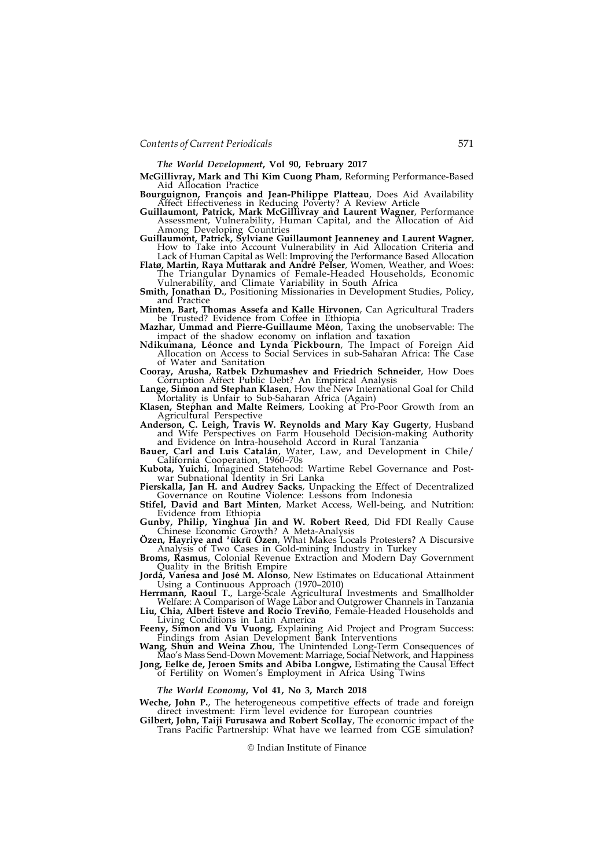The World Development, Vol 90, February 2017

McGillivray, Mark and Thi Kim Cuong Pham, Reforming Performance-Based Aid Allocation Practice

Bourguignon, François and Jean-Philippe Platteau, Does Aid Availability Affect Effectiveness in Reducing Poverty? A Review Article

Guillaumont, Patrick, Mark McGillivray and Laurent Wagner, Performance Assessment, Vulnerability, Human Capital, and the Allocation of Aid Among Developing Countries

Guillaumont, Patrick, Sylviane Guillaumont Jeanneney and Laurent Wagner, How to Take into Account Vulnerability in Aid Allocation Criteria and

Lack of Human Capital as Well: Improving the Performance Based Allocation Flatø, Martin, Raya Muttarak and André Pelser, Women, Weather, and Woes: The Triangular Dynamics of Female-Headed Households, Economic

Vulnerability, and Climate Variability in South Africa **Smith, Jonathan D.**, Positioning Missionaries in Development Studies, Policy,

and Practice

Minten, Bart, Thomas Assefa and Kalle Hirvonen, Can Agricultural Traders be Trusted? Evidence from Coffee in Ethiopia Mazhar, Ummad and Pierre-Guillaume Méon, Taxing the unobservable: The

impact of the shadow economy on inflation and taxation

Ndikumana, Léonce and Lynda Pickbourn, The Impact of Foreign Aid Allocation on Access to Social Services in sub-Saharan Africa: The Case of Water and Sanitation

Cooray, Arusha, Ratbek Dzhumashev and Friedrich Schneider, How Does Corruption Affect Public Debt? An Empirical Analysis

Lange, Simon and Stephan Klasen, How the New International Goal for Child Mortality is Unfair to Sub-Saharan Africa (Again)

Klasen, Stephan and Malte Reimers, Looking at Pro-Poor Growth from an Agricultural Perspective

Anderson, C. Leigh, Travis W. Reynolds and Mary Kay Gugerty, Husband and Wife Perspectives on Farm Household Decision-making Authority and Evidence on Intra-household Accord in Rural Tanzania

Bauer, Carl and Luis Catalán, Water, Law, and Development in Chile/ California Cooperation, 1960–70s

Kubota, Yuichi, Imagined Statehood: Wartime Rebel Governance and Postwar Subnational Identity in Sri Lanka

Pierskalla, Jan H. and Audrey Sacks, Unpacking the Effect of Decentralized Governance on Routine Violence: Lessons from Indonesia

Stifel, David and Bart Minten, Market Access, Well-being, and Nutrition: Evidence from Ethiopia

Gunby, Philip, Yinghua Jin and W. Robert Reed, Did FDI Really Cause Chinese Economic Growth? A Meta-Analysis

Özen, Hayriye and ªükrü Özen, What Makes Locals Protesters? A Discursive Analysis of Two Cases in Gold-mining Industry in Turkey

Broms, Rasmus, Colonial Revenue Extraction and Modern Day Government Quality in the British Empire Jordá, Vanesa and José M. Alonso, New Estimates on Educational Attainment

Using a Continuous Approach (1970–2010)

Herrmann, Raoul T., Large-Scale Agricultural Investments and Smallholder Welfare: A Comparison of Wage Labor and Outgrower Channels in Tanzania Liu, Chia, Albert Esteve and Rocío Treviño, Female-Headed Households and

Living Conditions in Latin America Feeny, Simon and Vu Vuong, Explaining Aid Project and Program Success:

Findings from Asian Development Bank Interventions Wang, Shun and Weina Zhou, The Unintended Long-Term Consequences of

Mao's Mass Send-Down Movement: Marriage, Social Network, and Happiness Jong, Eelke de, Jeroen Smits and Abiba Longwe, Estimating the Causal Effect

of Fertility on Women's Employment in Africa Using Twins

#### The World Economy, Vol 41, No 3, March 2018

Weche, John P., The heterogeneous competitive effects of trade and foreign direct investment: Firm level evidence for European countries

Gilbert, John, Taiji Furusawa and Robert Scollay, The economic impact of the Trans Pacific Partnership: What have we learned from CGE simulation?